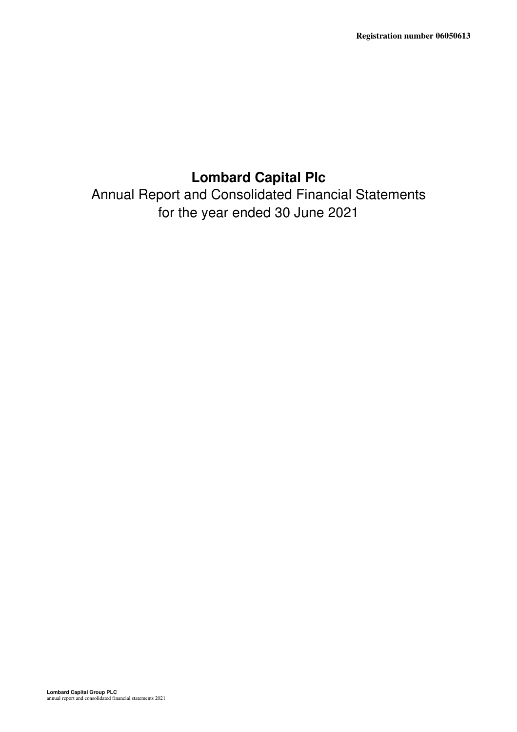# **Lombard Capital Plc**

Annual Report and Consolidated Financial Statements for the year ended 30 June 2021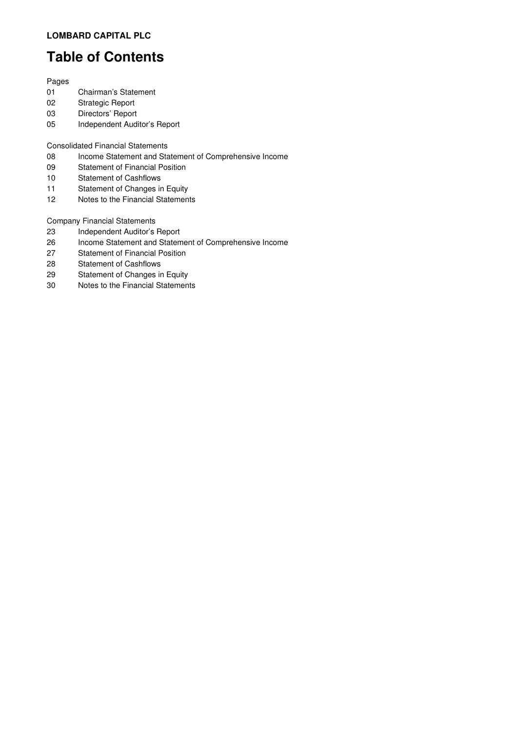## **LOMBARD CAPITAL PLC**

# **Table of Contents**

## Pages

- 01 Chairman's Statement
- 02 Strategic Report
- 03 Directors' Report
- 05 Independent Auditor's Report

Consolidated Financial Statements

- 08 Income Statement and Statement of Comprehensive Income
- 09 Statement of Financial Position
- 10 Statement of Cashflows
- 11 Statement of Changes in Equity
- 12 Notes to the Financial Statements

Company Financial Statements

- 23 Independent Auditor's Report
- 26 Income Statement and Statement of Comprehensive Income
- 27 Statement of Financial Position
- 28 Statement of Cashflows
- 29 Statement of Changes in Equity
- 30 Notes to the Financial Statements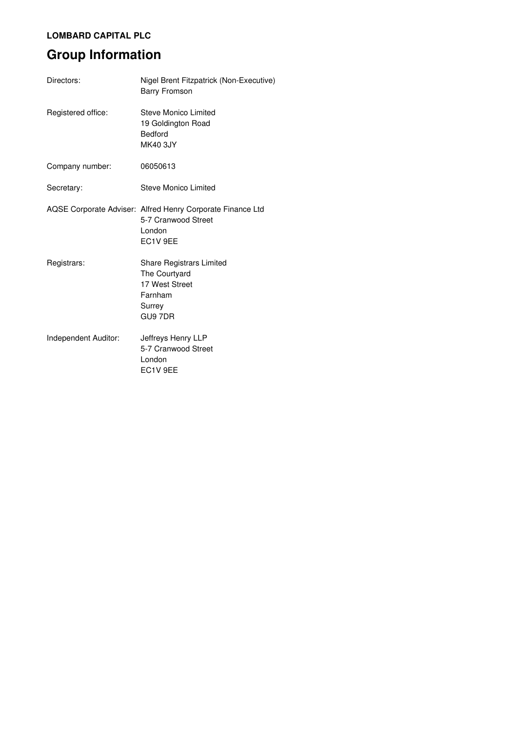## **LOMBARD CAPITAL PLC**

# **Group Information**

| Directors:           | Nigel Brent Fitzpatrick (Non-Executive)<br><b>Barry Fromson</b>                                         |
|----------------------|---------------------------------------------------------------------------------------------------------|
| Registered office:   | <b>Steve Monico Limited</b><br>19 Goldington Road<br>Bedford<br>MK40 3JY                                |
| Company number:      | 06050613                                                                                                |
| Secretary:           | Steve Monico Limited                                                                                    |
|                      | AQSE Corporate Adviser: Alfred Henry Corporate Finance Ltd<br>5-7 Cranwood Street<br>London<br>EC1V 9EE |
| Registrars:          | <b>Share Registrars Limited</b><br>The Courtyard<br>17 West Street<br>Farnham<br>Surrey<br>GU9 7DR      |
| Independent Auditor: | Jeffreys Henry LLP<br>5-7 Cranwood Street<br>London<br>EC1V 9EE                                         |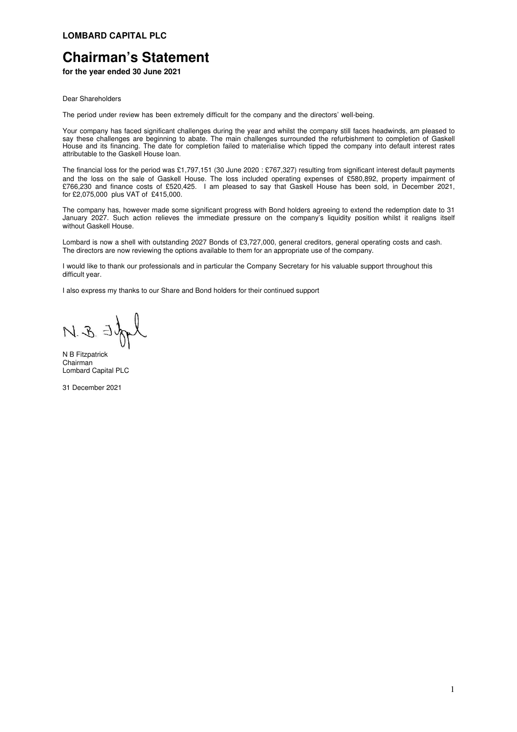# **Chairman's Statement**

**for the year ended 30 June 2021** 

Dear Shareholders

The period under review has been extremely difficult for the company and the directors' well-being.

Your company has faced significant challenges during the year and whilst the company still faces headwinds, am pleased to say these challenges are beginning to abate. The main challenges surrounded the refurbishment to completion of Gaskell House and its financing. The date for completion failed to materialise which tipped the company into default interest rates attributable to the Gaskell House loan.

The financial loss for the period was £1,797,151 (30 June 2020 : £767,327) resulting from significant interest default payments and the loss on the sale of Gaskell House. The loss included operating expenses of £580,892, property impairment of £766,230 and finance costs of £520,425. I am pleased to say that Gaskell House has been sold, in December 2021, for £2,075,000 plus VAT of £415,000.

The company has, however made some significant progress with Bond holders agreeing to extend the redemption date to 31 January 2027. Such action relieves the immediate pressure on the company's liquidity position whilst it realigns itself without Gaskell House.

Lombard is now a shell with outstanding 2027 Bonds of £3,727,000, general creditors, general operating costs and cash. The directors are now reviewing the options available to them for an appropriate use of the company.

I would like to thank our professionals and in particular the Company Secretary for his valuable support throughout this difficult year.

I also express my thanks to our Share and Bond holders for their continued support

 $N.3.31$ 

N B Fitzpatrick Chairman Lombard Capital PLC

31 December 2021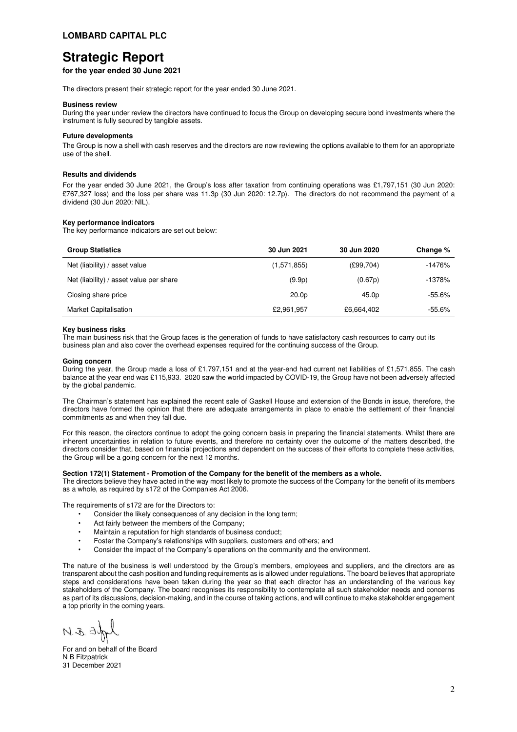## **Strategic Report**

**for the year ended 30 June 2021** 

The directors present their strategic report for the year ended 30 June 2021.

## **Business review**

During the year under review the directors have continued to focus the Group on developing secure bond investments where the instrument is fully secured by tangible assets.

## **Future developments**

The Group is now a shell with cash reserves and the directors are now reviewing the options available to them for an appropriate use of the shell.

## **Results and dividends**

For the year ended 30 June 2021, the Group's loss after taxation from continuing operations was £1,797,151 (30 Jun 2020: £767,327 loss) and the loss per share was 11.3p (30 Jun 2020: 12.7p). The directors do not recommend the payment of a dividend (30 Jun 2020: NIL).

## **Key performance indicators**

The key performance indicators are set out below:

| <b>Group Statistics</b>                 | 30 Jun 2021       | 30 Jun 2020 | Change % |
|-----------------------------------------|-------------------|-------------|----------|
| Net (liability) / asset value           | (1,571,855)       | (E99,704)   | -1476%   |
| Net (liability) / asset value per share | (9.9p)            | (0.67p)     | $-1378%$ |
| Closing share price                     | 20.0 <sub>p</sub> | 45.0p       | $-55.6%$ |
| <b>Market Capitalisation</b>            | £2,961,957        | £6,664,402  | $-55.6%$ |

## **Key business risks**

The main business risk that the Group faces is the generation of funds to have satisfactory cash resources to carry out its business plan and also cover the overhead expenses required for the continuing success of the Group.

#### **Going concern**

During the year, the Group made a loss of £1,797,151 and at the year-end had current net liabilities of £1,571,855. The cash balance at the year end was £115,933. 2020 saw the world impacted by COVID-19, the Group have not been adversely affected by the global pandemic.

The Chairman's statement has explained the recent sale of Gaskell House and extension of the Bonds in issue, therefore, the directors have formed the opinion that there are adequate arrangements in place to enable the settlement of their financial commitments as and when they fall due.

For this reason, the directors continue to adopt the going concern basis in preparing the financial statements. Whilst there are inherent uncertainties in relation to future events, and therefore no certainty over the outcome of the matters described, the directors consider that, based on financial projections and dependent on the success of their efforts to complete these activities, the Group will be a going concern for the next 12 months.

#### **Section 172(1) Statement - Promotion of the Company for the benefit of the members as a whole.**

The directors believe they have acted in the way most likely to promote the success of the Company for the benefit of its members as a whole, as required by s172 of the Companies Act 2006.

The requirements of s172 are for the Directors to:

- Consider the likely consequences of any decision in the long term;
- Act fairly between the members of the Company:
- Maintain a reputation for high standards of business conduct;
- Foster the Company's relationships with suppliers, customers and others; and
- Consider the impact of the Company's operations on the community and the environment.

The nature of the business is well understood by the Group's members, employees and suppliers, and the directors are as transparent about the cash position and funding requirements as is allowed under regulations. The board believes that appropriate steps and considerations have been taken during the year so that each director has an understanding of the various key stakeholders of the Company. The board recognises its responsibility to contemplate all such stakeholder needs and concerns as part of its discussions, decision-making, and in the course of taking actions, and will continue to make stakeholder engagement a top priority in the coming years.

 $N.B. Jx$ 

For and on behalf of the Board N B Fitzpatrick 31 December 2021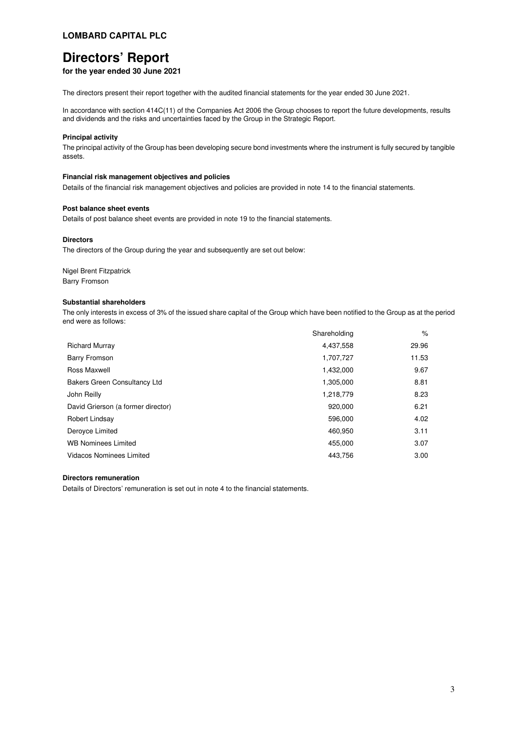## **LOMBARD CAPITAL PLC**

## **Directors' Report**

**for the year ended 30 June 2021** 

The directors present their report together with the audited financial statements for the year ended 30 June 2021.

In accordance with section 414C(11) of the Companies Act 2006 the Group chooses to report the future developments, results and dividends and the risks and uncertainties faced by the Group in the Strategic Report.

## **Principal activity**

The principal activity of the Group has been developing secure bond investments where the instrument is fully secured by tangible assets.

## **Financial risk management objectives and policies**

Details of the financial risk management objectives and policies are provided in note 14 to the financial statements.

## **Post balance sheet events**

Details of post balance sheet events are provided in note 19 to the financial statements.

## **Directors**

The directors of the Group during the year and subsequently are set out below:

Nigel Brent Fitzpatrick Barry Fromson

## **Substantial shareholders**

The only interests in excess of 3% of the issued share capital of the Group which have been notified to the Group as at the period end were as follows:

|                                     | Shareholding | %     |
|-------------------------------------|--------------|-------|
| <b>Richard Murray</b>               | 4,437,558    | 29.96 |
| Barry Fromson                       | 1,707,727    | 11.53 |
| Ross Maxwell                        | 1,432,000    | 9.67  |
| <b>Bakers Green Consultancy Ltd</b> | 1,305,000    | 8.81  |
| John Reilly                         | 1,218,779    | 8.23  |
| David Grierson (a former director)  | 920,000      | 6.21  |
| Robert Lindsay                      | 596,000      | 4.02  |
| Deroyce Limited                     | 460,950      | 3.11  |
| <b>WB Nominees Limited</b>          | 455,000      | 3.07  |
| <b>Vidacos Nominees Limited</b>     | 443.756      | 3.00  |

## **Directors remuneration**

Details of Directors' remuneration is set out in note 4 to the financial statements.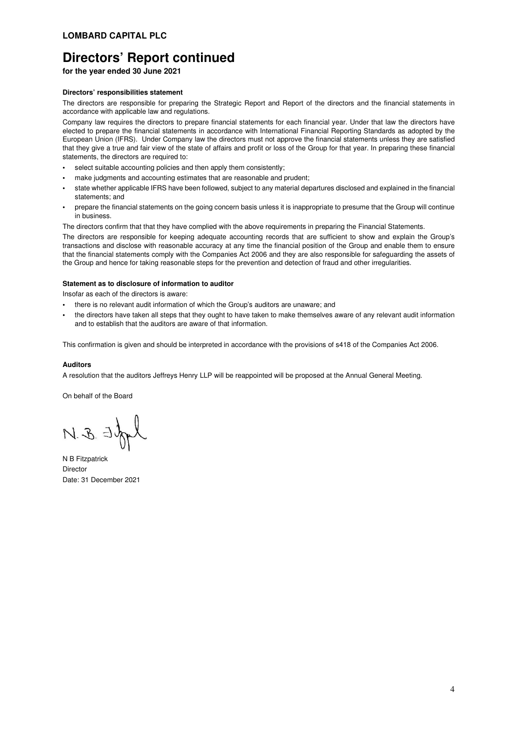## **Directors' Report continued**

**for the year ended 30 June 2021** 

## **Directors' responsibilities statement**

The directors are responsible for preparing the Strategic Report and Report of the directors and the financial statements in accordance with applicable law and regulations.

Company law requires the directors to prepare financial statements for each financial year. Under that law the directors have elected to prepare the financial statements in accordance with International Financial Reporting Standards as adopted by the European Union (IFRS). Under Company law the directors must not approve the financial statements unless they are satisfied that they give a true and fair view of the state of affairs and profit or loss of the Group for that year. In preparing these financial statements, the directors are required to:

- **•** select suitable accounting policies and then apply them consistently;
- **•** make judgments and accounting estimates that are reasonable and prudent;
- **•** state whether applicable IFRS have been followed, subject to any material departures disclosed and explained in the financial statements; and
- **•** prepare the financial statements on the going concern basis unless it is inappropriate to presume that the Group will continue in business.

The directors confirm that that they have complied with the above requirements in preparing the Financial Statements.

The directors are responsible for keeping adequate accounting records that are sufficient to show and explain the Group's transactions and disclose with reasonable accuracy at any time the financial position of the Group and enable them to ensure that the financial statements comply with the Companies Act 2006 and they are also responsible for safeguarding the assets of the Group and hence for taking reasonable steps for the prevention and detection of fraud and other irregularities.

## **Statement as to disclosure of information to auditor**

Insofar as each of the directors is aware:

- **•** there is no relevant audit information of which the Group's auditors are unaware; and
- **•** the directors have taken all steps that they ought to have taken to make themselves aware of any relevant audit information and to establish that the auditors are aware of that information.

This confirmation is given and should be interpreted in accordance with the provisions of s418 of the Companies Act 2006.

## **Auditors**

A resolution that the auditors Jeffreys Henry LLP will be reappointed will be proposed at the Annual General Meeting.

On behalf of the Board

 $N. B.$ 

N B Fitzpatrick Director Date: 31 December 2021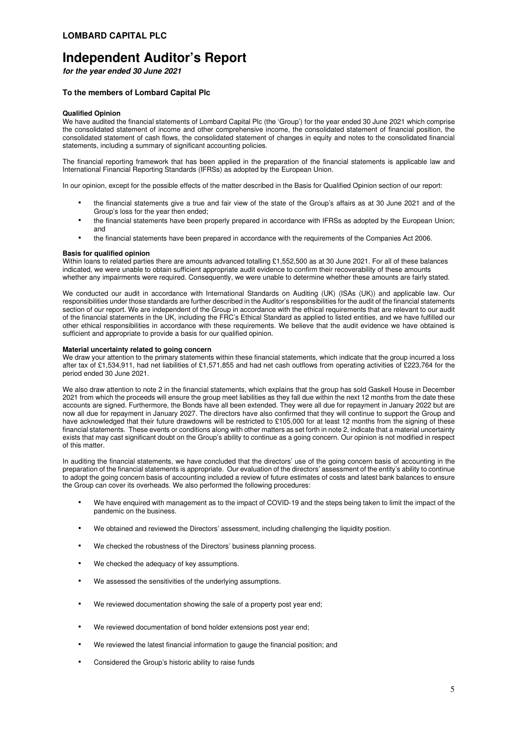**for the year ended 30 June 2021** 

## **To the members of Lombard Capital Plc**

#### **Qualified Opinion**

We have audited the financial statements of Lombard Capital Plc (the 'Group') for the year ended 30 June 2021 which comprise the consolidated statement of income and other comprehensive income, the consolidated statement of financial position, the consolidated statement of cash flows, the consolidated statement of changes in equity and notes to the consolidated financial statements, including a summary of significant accounting policies.

The financial reporting framework that has been applied in the preparation of the financial statements is applicable law and International Financial Reporting Standards (IFRSs) as adopted by the European Union.

In our opinion, except for the possible effects of the matter described in the Basis for Qualified Opinion section of our report:

- the financial statements give a true and fair view of the state of the Group's affairs as at 30 June 2021 and of the Group's loss for the year then ended;
- the financial statements have been properly prepared in accordance with IFRSs as adopted by the European Union; and
- the financial statements have been prepared in accordance with the requirements of the Companies Act 2006.

## **Basis for qualified opinion**

Within loans to related parties there are amounts advanced totalling £1,552,500 as at 30 June 2021. For all of these balances indicated, we were unable to obtain sufficient appropriate audit evidence to confirm their recoverability of these amounts whether any impairments were required. Consequently, we were unable to determine whether these amounts are fairly stated.

We conducted our audit in accordance with International Standards on Auditing (UK) (ISAs (UK)) and applicable law. Our responsibilities under those standards are further described in the Auditor's responsibilities for the audit of the financial statements section of our report. We are independent of the Group in accordance with the ethical requirements that are relevant to our audit of the financial statements in the UK, including the FRC's Ethical Standard as applied to listed entities, and we have fulfilled our other ethical responsibilities in accordance with these requirements. We believe that the audit evidence we have obtained is sufficient and appropriate to provide a basis for our qualified opinion.

## **Material uncertainty related to going concern**

We draw your attention to the primary statements within these financial statements, which indicate that the group incurred a loss after tax of £1,534,911, had net liabilities of £1,571,855 and had net cash outflows from operating activities of £223,764 for the period ended 30 June 2021.

We also draw attention to note 2 in the financial statements, which explains that the group has sold Gaskell House in December 2021 from which the proceeds will ensure the group meet liabilities as they fall due within the next 12 months from the date these accounts are signed. Furthermore, the Bonds have all been extended. They were all due for repayment in January 2022 but are now all due for repayment in January 2027. The directors have also confirmed that they will continue to support the Group and have acknowledged that their future drawdowns will be restricted to £105,000 for at least 12 months from the signing of these financial statements. These events or conditions along with other matters as set forth in note 2, indicate that a material uncertainty exists that may cast significant doubt on the Group's ability to continue as a going concern. Our opinion is not modified in respect of this matter.

In auditing the financial statements, we have concluded that the directors' use of the going concern basis of accounting in the preparation of the financial statements is appropriate. Our evaluation of the directors' assessment of the entity's ability to continue to adopt the going concern basis of accounting included a review of future estimates of costs and latest bank balances to ensure the Group can cover its overheads. We also performed the following procedures:

- We have enquired with management as to the impact of COVID-19 and the steps being taken to limit the impact of the pandemic on the business.
- We obtained and reviewed the Directors' assessment, including challenging the liquidity position.
- We checked the robustness of the Directors' business planning process.
- We checked the adequacy of key assumptions.
- We assessed the sensitivities of the underlying assumptions.
- We reviewed documentation showing the sale of a property post year end;
- We reviewed documentation of bond holder extensions post year end;
- We reviewed the latest financial information to gauge the financial position; and
- Considered the Group's historic ability to raise funds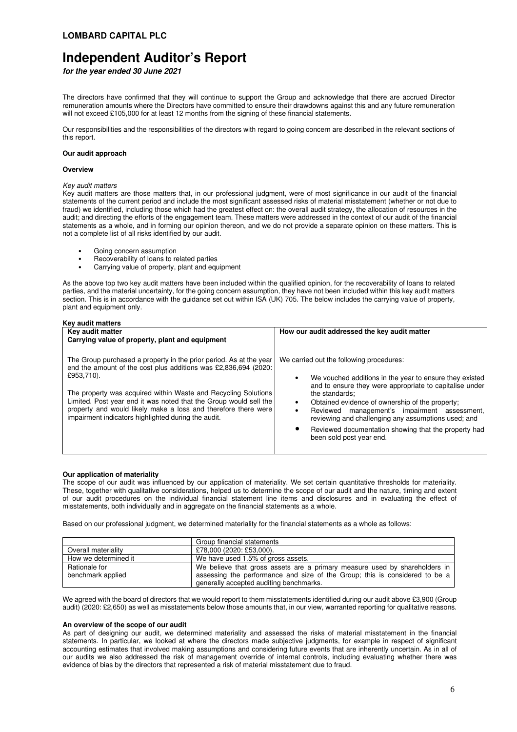**for the year ended 30 June 2021** 

The directors have confirmed that they will continue to support the Group and acknowledge that there are accrued Director remuneration amounts where the Directors have committed to ensure their drawdowns against this and any future remuneration will not exceed £105,000 for at least 12 months from the signing of these financial statements.

Our responsibilities and the responsibilities of the directors with regard to going concern are described in the relevant sections of this report.

#### **Our audit approach**

## **Overview**

## *Key audit matters*

Key audit matters are those matters that, in our professional judgment, were of most significance in our audit of the financial statements of the current period and include the most significant assessed risks of material misstatement (whether or not due to fraud) we identified, including those which had the greatest effect on: the overall audit strategy, the allocation of resources in the audit; and directing the efforts of the engagement team. These matters were addressed in the context of our audit of the financial statements as a whole, and in forming our opinion thereon, and we do not provide a separate opinion on these matters. This is not a complete list of all risks identified by our audit.

- Going concern assumption
- Recoverability of loans to related parties
- Carrying value of property, plant and equipment

As the above top two key audit matters have been included within the qualified opinion, for the recoverability of loans to related parties, and the material uncertainty, for the going concern assumption, they have not been included within this key audit matters section. This is in accordance with the guidance set out within ISA (UK) 705. The below includes the carrying value of property, plant and equipment only.

| Key audit matters                                                                                                                                                                                                                                                                                                                                                                                                   |                                                                                                                                                                                                                                                                                                                                                                                                                                               |
|---------------------------------------------------------------------------------------------------------------------------------------------------------------------------------------------------------------------------------------------------------------------------------------------------------------------------------------------------------------------------------------------------------------------|-----------------------------------------------------------------------------------------------------------------------------------------------------------------------------------------------------------------------------------------------------------------------------------------------------------------------------------------------------------------------------------------------------------------------------------------------|
| Key audit matter                                                                                                                                                                                                                                                                                                                                                                                                    | How our audit addressed the key audit matter                                                                                                                                                                                                                                                                                                                                                                                                  |
| Carrying value of property, plant and equipment                                                                                                                                                                                                                                                                                                                                                                     |                                                                                                                                                                                                                                                                                                                                                                                                                                               |
| The Group purchased a property in the prior period. As at the year<br>end the amount of the cost plus additions was £2,836,694 (2020:<br>£953,710).<br>The property was acquired within Waste and Recycling Solutions<br>Limited. Post year end it was noted that the Group would sell the<br>property and would likely make a loss and therefore there were<br>impairment indicators highlighted during the audit. | We carried out the following procedures:<br>We vouched additions in the year to ensure they existed<br>٠<br>and to ensure they were appropriate to capitalise under<br>the standards:<br>Obtained evidence of ownership of the property;<br>٠<br>Reviewed management's impairment assessment,<br>reviewing and challenging any assumptions used; and<br>٠<br>Reviewed documentation showing that the property had<br>been sold post year end. |
|                                                                                                                                                                                                                                                                                                                                                                                                                     |                                                                                                                                                                                                                                                                                                                                                                                                                                               |

## **Our application of materiality**

The scope of our audit was influenced by our application of materiality. We set certain quantitative thresholds for materiality. These, together with qualitative considerations, helped us to determine the scope of our audit and the nature, timing and extent of our audit procedures on the individual financial statement line items and disclosures and in evaluating the effect of misstatements, both individually and in aggregate on the financial statements as a whole.

Based on our professional judgment, we determined materiality for the financial statements as a whole as follows:

|                      | Group financial statements                                                                                             |
|----------------------|------------------------------------------------------------------------------------------------------------------------|
| Overall materiality  | £78,000 (2020: £53,000).                                                                                               |
| How we determined it | We have used 1.5% of gross assets.                                                                                     |
| Rationale for        | We believe that gross assets are a primary measure used by shareholders in                                             |
| benchmark applied    | assessing the performance and size of the Group; this is considered to be a<br>generally accepted auditing benchmarks. |

We agreed with the board of directors that we would report to them misstatements identified during our audit above £3,900 (Group audit) (2020: £2,650) as well as misstatements below those amounts that, in our view, warranted reporting for qualitative reasons.

## **An overview of the scope of our audit**

As part of designing our audit, we determined materiality and assessed the risks of material misstatement in the financial statements. In particular, we looked at where the directors made subjective judgments, for example in respect of significant accounting estimates that involved making assumptions and considering future events that are inherently uncertain. As in all of our audits we also addressed the risk of management override of internal controls, including evaluating whether there was evidence of bias by the directors that represented a risk of material misstatement due to fraud.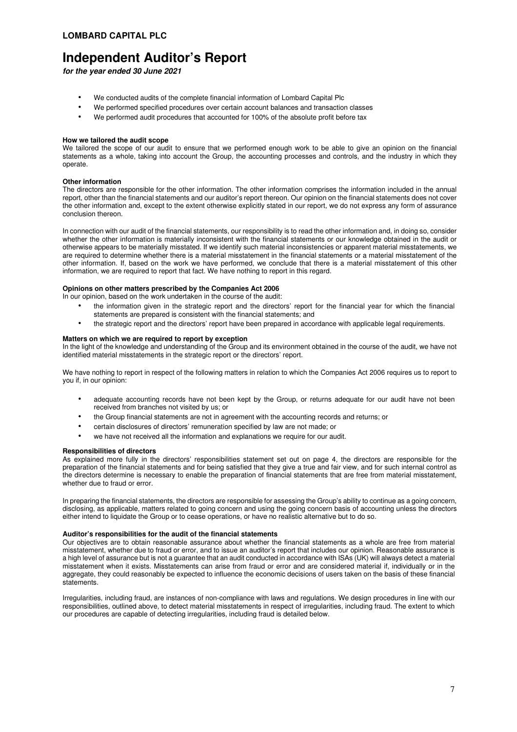**for the year ended 30 June 2021** 

- We conducted audits of the complete financial information of Lombard Capital Plc
- We performed specified procedures over certain account balances and transaction classes
- We performed audit procedures that accounted for 100% of the absolute profit before tax

## **How we tailored the audit scope**

We tailored the scope of our audit to ensure that we performed enough work to be able to give an opinion on the financial statements as a whole, taking into account the Group, the accounting processes and controls, and the industry in which they operate.

## **Other information**

The directors are responsible for the other information. The other information comprises the information included in the annual report, other than the financial statements and our auditor's report thereon. Our opinion on the financial statements does not cover the other information and, except to the extent otherwise explicitly stated in our report, we do not express any form of assurance conclusion thereon.

In connection with our audit of the financial statements, our responsibility is to read the other information and, in doing so, consider whether the other information is materially inconsistent with the financial statements or our knowledge obtained in the audit or otherwise appears to be materially misstated. If we identify such material inconsistencies or apparent material misstatements, we are required to determine whether there is a material misstatement in the financial statements or a material misstatement of the other information. If, based on the work we have performed, we conclude that there is a material misstatement of this other information, we are required to report that fact. We have nothing to report in this regard.

## **Opinions on other matters prescribed by the Companies Act 2006**

In our opinion, based on the work undertaken in the course of the audit:

- the information given in the strategic report and the directors' report for the financial year for which the financial statements are prepared is consistent with the financial statements; and
- the strategic report and the directors' report have been prepared in accordance with applicable legal requirements.

## **Matters on which we are required to report by exception**

In the light of the knowledge and understanding of the Group and its environment obtained in the course of the audit, we have not identified material misstatements in the strategic report or the directors' report.

We have nothing to report in respect of the following matters in relation to which the Companies Act 2006 requires us to report to you if, in our opinion:

- adequate accounting records have not been kept by the Group, or returns adequate for our audit have not been received from branches not visited by us; or
- the Group financial statements are not in agreement with the accounting records and returns; or
- certain disclosures of directors' remuneration specified by law are not made; or
- we have not received all the information and explanations we require for our audit.

## **Responsibilities of directors**

As explained more fully in the directors' responsibilities statement set out on page 4, the directors are responsible for the preparation of the financial statements and for being satisfied that they give a true and fair view, and for such internal control as the directors determine is necessary to enable the preparation of financial statements that are free from material misstatement, whether due to fraud or error.

In preparing the financial statements, the directors are responsible for assessing the Group's ability to continue as a going concern, disclosing, as applicable, matters related to going concern and using the going concern basis of accounting unless the directors either intend to liquidate the Group or to cease operations, or have no realistic alternative but to do so.

## **Auditor's responsibilities for the audit of the financial statements**

Our objectives are to obtain reasonable assurance about whether the financial statements as a whole are free from material misstatement, whether due to fraud or error, and to issue an auditor's report that includes our opinion. Reasonable assurance is a high level of assurance but is not a guarantee that an audit conducted in accordance with ISAs (UK) will always detect a material misstatement when it exists. Misstatements can arise from fraud or error and are considered material if, individually or in the aggregate, they could reasonably be expected to influence the economic decisions of users taken on the basis of these financial statements.

Irregularities, including fraud, are instances of non-compliance with laws and regulations. We design procedures in line with our responsibilities, outlined above, to detect material misstatements in respect of irregularities, including fraud. The extent to which our procedures are capable of detecting irregularities, including fraud is detailed below.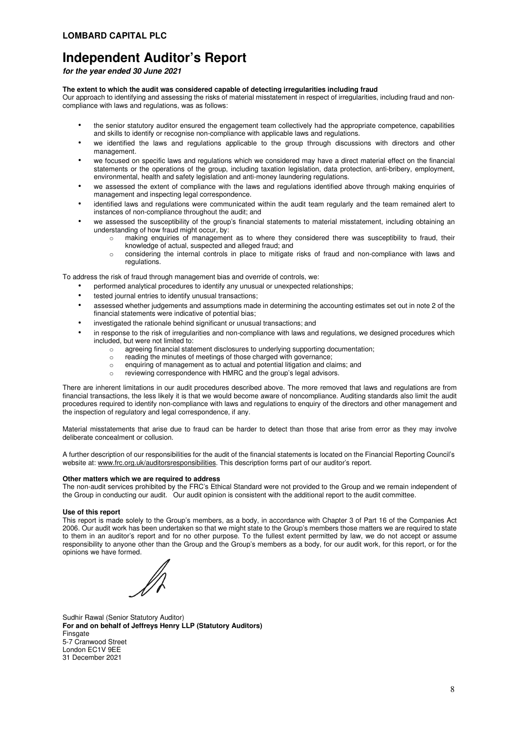## **for the year ended 30 June 2021**

## **The extent to which the audit was considered capable of detecting irregularities including fraud**

Our approach to identifying and assessing the risks of material misstatement in respect of irregularities, including fraud and noncompliance with laws and regulations, was as follows:

- the senior statutory auditor ensured the engagement team collectively had the appropriate competence, capabilities and skills to identify or recognise non-compliance with applicable laws and regulations.
- we identified the laws and regulations applicable to the group through discussions with directors and other management.
- we focused on specific laws and regulations which we considered may have a direct material effect on the financial statements or the operations of the group, including taxation legislation, data protection, anti-bribery, employment, environmental, health and safety legislation and anti-money laundering regulations.
- we assessed the extent of compliance with the laws and regulations identified above through making enquiries of management and inspecting legal correspondence.
- identified laws and regulations were communicated within the audit team regularly and the team remained alert to instances of non-compliance throughout the audit; and
- we assessed the susceptibility of the group's financial statements to material misstatement, including obtaining an understanding of how fraud might occur, by:
	- making enquiries of management as to where they considered there was susceptibility to fraud, their knowledge of actual, suspected and alleged fraud; and
	- o considering the internal controls in place to mitigate risks of fraud and non-compliance with laws and regulations.

To address the risk of fraud through management bias and override of controls, we:

- performed analytical procedures to identify any unusual or unexpected relationships;
- tested journal entries to identify unusual transactions:
- assessed whether judgements and assumptions made in determining the accounting estimates set out in note 2 of the financial statements were indicative of potential bias;
- investigated the rationale behind significant or unusual transactions; and
- in response to the risk of irregularities and non-compliance with laws and regulations, we designed procedures which included, but were not limited to:
	- o agreeing financial statement disclosures to underlying supporting documentation;
		- o reading the minutes of meetings of those charged with governance;
		- o enquiring of management as to actual and potential litigation and claims; and
		- reviewing correspondence with HMRC and the group's legal advisors.

There are inherent limitations in our audit procedures described above. The more removed that laws and regulations are from financial transactions, the less likely it is that we would become aware of noncompliance. Auditing standards also limit the audit procedures required to identify non-compliance with laws and regulations to enquiry of the directors and other management and the inspection of regulatory and legal correspondence, if any.

Material misstatements that arise due to fraud can be harder to detect than those that arise from error as they may involve deliberate concealment or collusion.

A further description of our responsibilities for the audit of the financial statements is located on the Financial Reporting Council's website at: www.frc.org.uk/auditorsresponsibilities. This description forms part of our auditor's report.

## **Other matters which we are required to address**

The non-audit services prohibited by the FRC's Ethical Standard were not provided to the Group and we remain independent of the Group in conducting our audit. Our audit opinion is consistent with the additional report to the audit committee.

## **Use of this report**

This report is made solely to the Group's members, as a body, in accordance with Chapter 3 of Part 16 of the Companies Act 2006. Our audit work has been undertaken so that we might state to the Group's members those matters we are required to state to them in an auditor's report and for no other purpose. To the fullest extent permitted by law, we do not accept or assume responsibility to anyone other than the Group and the Group's members as a body, for our audit work, for this report, or for the opinions we have formed.

Sudhir Rawal (Senior Statutory Auditor) **For and on behalf of Jeffreys Henry LLP (Statutory Auditors) Finsgate** 5-7 Cranwood Street London EC1V 9EE 31 December 2021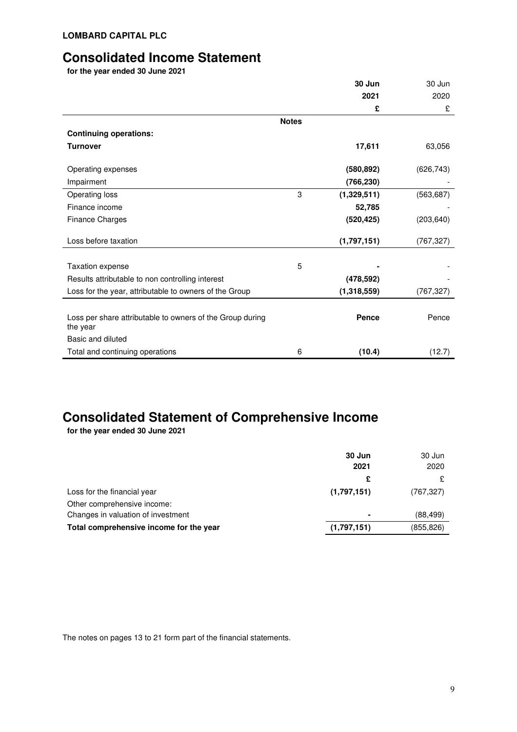## **Consolidated Income Statement**

**for the year ended 30 June 2021**

|                                                                       |              | 30 Jun      | 30 Jun     |
|-----------------------------------------------------------------------|--------------|-------------|------------|
|                                                                       |              | 2021        | 2020       |
|                                                                       |              | £           | £          |
|                                                                       | <b>Notes</b> |             |            |
| <b>Continuing operations:</b>                                         |              |             |            |
| <b>Turnover</b>                                                       |              | 17,611      | 63,056     |
|                                                                       |              |             |            |
| Operating expenses                                                    |              | (580, 892)  | (626, 743) |
| Impairment                                                            |              | (766, 230)  |            |
| Operating loss                                                        | 3            | (1,329,511) | (563, 687) |
| Finance income                                                        |              | 52,785      |            |
| Finance Charges                                                       |              | (520, 425)  | (203, 640) |
|                                                                       |              |             |            |
| Loss before taxation                                                  |              | (1,797,151) | (767, 327) |
|                                                                       |              |             |            |
| Taxation expense                                                      | 5            |             |            |
| Results attributable to non controlling interest                      |              | (478, 592)  |            |
| Loss for the year, attributable to owners of the Group                |              | (1,318,559) | (767, 327) |
|                                                                       |              |             |            |
| Loss per share attributable to owners of the Group during<br>the year |              | Pence       | Pence      |
| Basic and diluted                                                     |              |             |            |
| Total and continuing operations                                       | 6            | (10.4)      | (12.7)     |

# **Consolidated Statement of Comprehensive Income**

**for the year ended 30 June 2021**

|                                         | 30 Jun<br>2021 | 30 Jun<br>2020 |
|-----------------------------------------|----------------|----------------|
|                                         |                |                |
| Loss for the financial year             | (1,797,151)    | (767, 327)     |
| Other comprehensive income:             |                |                |
| Changes in valuation of investment      |                | (88, 499)      |
| Total comprehensive income for the year | (1,797,151)    | (855, 826)     |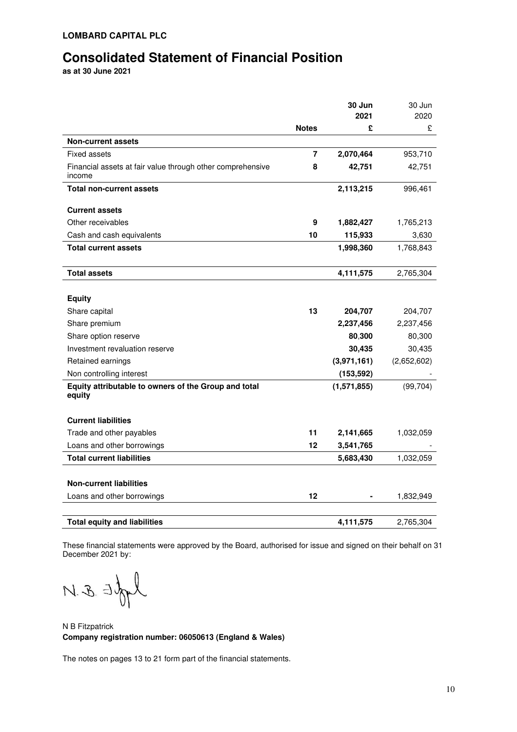# **Consolidated Statement of Financial Position**

**as at 30 June 2021** 

|                                                                      |              | 30 Jun      | 30 Jun      |
|----------------------------------------------------------------------|--------------|-------------|-------------|
|                                                                      |              | 2021        | 2020        |
|                                                                      | <b>Notes</b> | £           | £           |
| <b>Non-current assets</b>                                            |              |             |             |
| <b>Fixed assets</b>                                                  | 7            | 2,070,464   | 953,710     |
| Financial assets at fair value through other comprehensive<br>income | 8            | 42,751      | 42,751      |
| <b>Total non-current assets</b>                                      |              | 2,113,215   | 996,461     |
| <b>Current assets</b>                                                |              |             |             |
| Other receivables                                                    | 9            | 1,882,427   | 1,765,213   |
| Cash and cash equivalents                                            | 10           | 115,933     | 3,630       |
| <b>Total current assets</b>                                          |              | 1,998,360   | 1,768,843   |
|                                                                      |              |             |             |
| <b>Total assets</b>                                                  |              | 4,111,575   | 2,765,304   |
|                                                                      |              |             |             |
| <b>Equity</b>                                                        |              |             |             |
| Share capital                                                        | 13           | 204,707     | 204,707     |
| Share premium                                                        |              | 2,237,456   | 2,237,456   |
| Share option reserve                                                 |              | 80,300      | 80,300      |
| Investment revaluation reserve                                       |              | 30,435      | 30,435      |
| Retained earnings                                                    |              | (3,971,161) | (2,652,602) |
| Non controlling interest                                             |              | (153, 592)  |             |
| Equity attributable to owners of the Group and total                 |              | (1,571,855) | (99, 704)   |
| equity                                                               |              |             |             |
| <b>Current liabilities</b>                                           |              |             |             |
| Trade and other payables                                             | 11           | 2,141,665   | 1,032,059   |
| Loans and other borrowings                                           | 12           | 3,541,765   |             |
| <b>Total current liabilities</b>                                     |              | 5,683,430   | 1,032,059   |
|                                                                      |              |             |             |
| <b>Non-current liabilities</b>                                       |              |             |             |
| Loans and other borrowings                                           | 12           |             | 1,832,949   |
|                                                                      |              |             |             |
| <b>Total equity and liabilities</b>                                  |              | 4,111,575   | 2,765,304   |

These financial statements were approved by the Board, authorised for issue and signed on their behalf on 31 December 2021 by:

N.B. Jopl

N B Fitzpatrick **Company registration number: 06050613 (England & Wales)**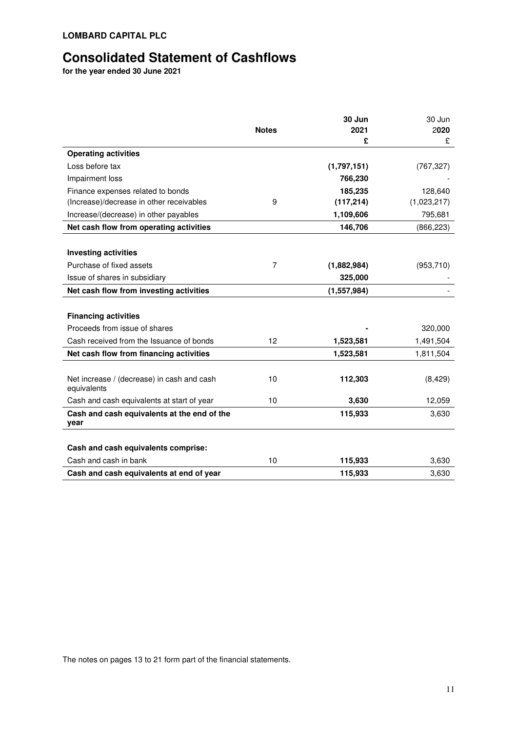# **Consolidated Statement of Cashflows**

**for the year ended 30 June 2021** 

| <b>Notes</b> | 30 Jun<br>2021 | 30 Jun<br>2020 |
|--------------|----------------|----------------|
|              |                | £              |
|              |                |                |
|              | (1,797,151)    | (767, 327)     |
|              | 766,230        |                |
|              | 185,235        | 128,640        |
| 9            | (117, 214)     | (1,023,217)    |
|              | 1,109,606      | 795,681        |
|              | 146,706        | (866, 223)     |
|              |                |                |
|              |                |                |
| 7            | (1,882,984)    | (953, 710)     |
|              | 325,000        |                |
|              | (1,557,984)    |                |
|              |                |                |
|              |                |                |
|              |                | 320,000        |
| 12           | 1,523,581      | 1,491,504      |
|              | 1,523,581      | 1,811,504      |
|              |                |                |
| 10           | 112,303        | (8, 429)       |
| 10           | 3,630          | 12,059         |
|              | 115,933        | 3,630          |
|              |                |                |
|              |                |                |
| 10           | 115,933        | 3,630          |
|              | 115,933        | 3,630          |
|              |                | £              |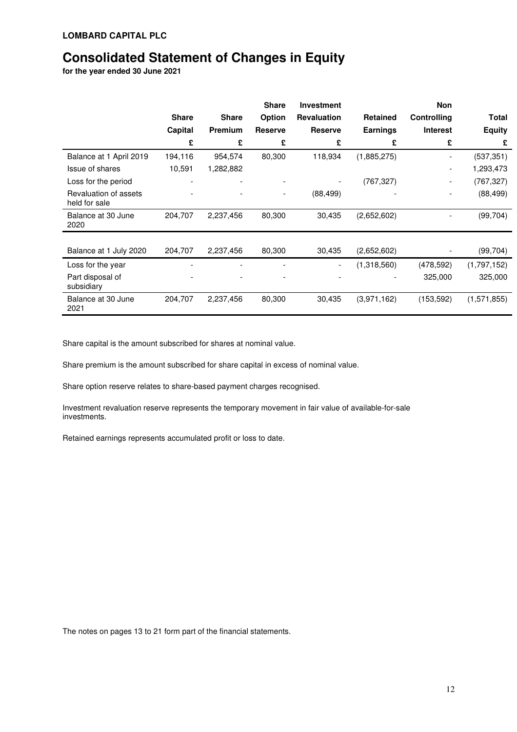# **Consolidated Statement of Changes in Equity**

**for the year ended 30 June 2021** 

|                                        |              |                | <b>Share</b>   | <b>Investment</b>        |                 | <b>Non</b>               |               |
|----------------------------------------|--------------|----------------|----------------|--------------------------|-----------------|--------------------------|---------------|
|                                        | <b>Share</b> | <b>Share</b>   | Option         | <b>Revaluation</b>       | <b>Retained</b> | Controlling              | Total         |
|                                        | Capital      | <b>Premium</b> | <b>Reserve</b> | <b>Reserve</b>           | <b>Earnings</b> | <b>Interest</b>          | <b>Equity</b> |
|                                        | £            | £              | £              | £                        | £               | £                        | £             |
| Balance at 1 April 2019                | 194,116      | 954,574        | 80,300         | 118,934                  | (1,885,275)     | $\overline{\phantom{a}}$ | (537, 351)    |
| Issue of shares                        | 10,591       | 1,282,882      |                |                          |                 | $\overline{\phantom{a}}$ | 1,293,473     |
| Loss for the period                    |              |                |                |                          | (767, 327)      | $\overline{\phantom{a}}$ | (767, 327)    |
| Revaluation of assets<br>held for sale |              |                |                | (88, 499)                |                 | $\overline{\phantom{a}}$ | (88, 499)     |
| Balance at 30 June<br>2020             | 204,707      | 2,237,456      | 80,300         | 30,435                   | (2,652,602)     |                          | (99,704)      |
|                                        |              |                |                |                          |                 |                          |               |
| Balance at 1 July 2020                 | 204,707      | 2,237,456      | 80,300         | 30,435                   | (2,652,602)     |                          | (99,704)      |
| Loss for the year                      |              |                |                | $\overline{\phantom{0}}$ | (1,318,560)     | (478, 592)               | (1,797,152)   |
| Part disposal of<br>subsidiary         |              |                |                |                          |                 | 325,000                  | 325,000       |
| Balance at 30 June<br>2021             | 204,707      | 2,237,456      | 80,300         | 30,435                   | (3,971,162)     | (153, 592)               | (1,571,855)   |

Share capital is the amount subscribed for shares at nominal value.

Share premium is the amount subscribed for share capital in excess of nominal value.

Share option reserve relates to share-based payment charges recognised.

Investment revaluation reserve represents the temporary movement in fair value of available-for-sale investments.

Retained earnings represents accumulated profit or loss to date.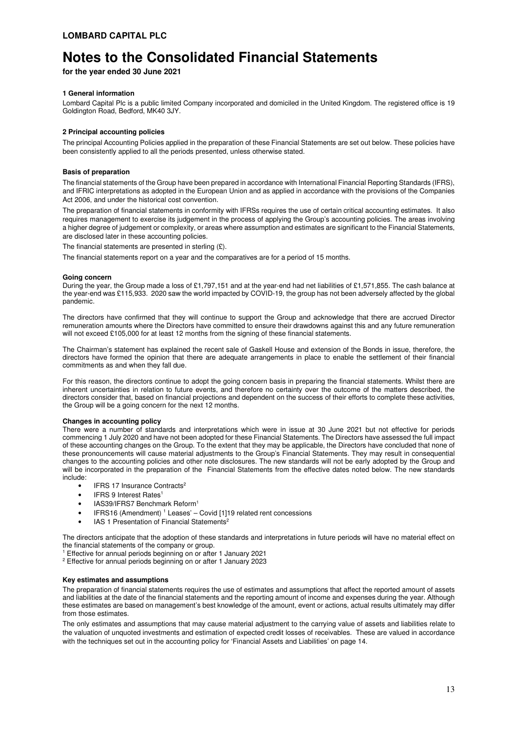**for the year ended 30 June 2021** 

## **1 General information**

Lombard Capital Plc is a public limited Company incorporated and domiciled in the United Kingdom. The registered office is 19 Goldington Road, Bedford, MK40 3JY.

## **2 Principal accounting policies**

The principal Accounting Policies applied in the preparation of these Financial Statements are set out below. These policies have been consistently applied to all the periods presented, unless otherwise stated.

## **Basis of preparation**

The financial statements of the Group have been prepared in accordance with International Financial Reporting Standards (IFRS), and IFRIC interpretations as adopted in the European Union and as applied in accordance with the provisions of the Companies Act 2006, and under the historical cost convention.

The preparation of financial statements in conformity with IFRSs requires the use of certain critical accounting estimates. It also requires management to exercise its judgement in the process of applying the Group's accounting policies. The areas involving a higher degree of judgement or complexity, or areas where assumption and estimates are significant to the Financial Statements, are disclosed later in these accounting policies.

The financial statements are presented in sterling  $(E)$ .

The financial statements report on a year and the comparatives are for a period of 15 months.

## **Going concern**

During the year, the Group made a loss of £1,797,151 and at the year-end had net liabilities of £1,571,855. The cash balance at the year-end was £115,933. 2020 saw the world impacted by COVID-19, the group has not been adversely affected by the global pandemic.

The directors have confirmed that they will continue to support the Group and acknowledge that there are accrued Director remuneration amounts where the Directors have committed to ensure their drawdowns against this and any future remuneration will not exceed £105,000 for at least 12 months from the signing of these financial statements.

The Chairman's statement has explained the recent sale of Gaskell House and extension of the Bonds in issue, therefore, the directors have formed the opinion that there are adequate arrangements in place to enable the settlement of their financial commitments as and when they fall due.

For this reason, the directors continue to adopt the going concern basis in preparing the financial statements. Whilst there are inherent uncertainties in relation to future events, and therefore no certainty over the outcome of the matters described, the directors consider that, based on financial projections and dependent on the success of their efforts to complete these activities, the Group will be a going concern for the next 12 months.

## **Changes in accounting policy**

There were a number of standards and interpretations which were in issue at 30 June 2021 but not effective for periods commencing 1 July 2020 and have not been adopted for these Financial Statements. The Directors have assessed the full impact of these accounting changes on the Group. To the extent that they may be applicable, the Directors have concluded that none of these pronouncements will cause material adjustments to the Group's Financial Statements. They may result in consequential changes to the accounting policies and other note disclosures. The new standards will not be early adopted by the Group and will be incorporated in the preparation of the Financial Statements from the effective dates noted below. The new standards include:

- IFRS 17 Insurance Contracts<sup>2</sup>
- IFRS 9 Interest Rates<sup>1</sup>
- IAS39/IFRS7 Benchmark Reform<sup>1</sup>
- $\bullet$  IFRS16 (Amendment)<sup>1</sup> Leases' Covid [1]19 related rent concessions
- IAS 1 Presentation of Financial Statements<sup>2</sup>

The directors anticipate that the adoption of these standards and interpretations in future periods will have no material effect on the financial statements of the company or group.

1 Effective for annual periods beginning on or after 1 January 2021

<sup>2</sup> Effective for annual periods beginning on or after 1 January 2023

## **Key estimates and assumptions**

The preparation of financial statements requires the use of estimates and assumptions that affect the reported amount of assets and liabilities at the date of the financial statements and the reporting amount of income and expenses during the year. Although these estimates are based on management's best knowledge of the amount, event or actions, actual results ultimately may differ from those estimates.

The only estimates and assumptions that may cause material adjustment to the carrying value of assets and liabilities relate to the valuation of unquoted investments and estimation of expected credit losses of receivables. These are valued in accordance with the techniques set out in the accounting policy for 'Financial Assets and Liabilities' on page 14.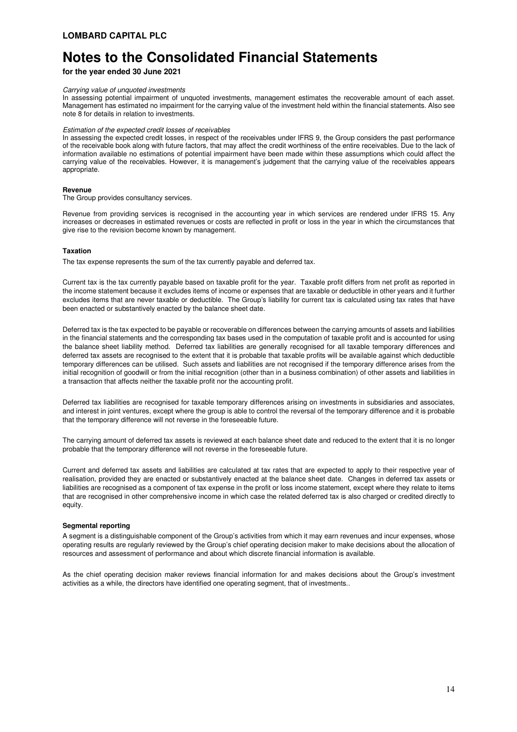## **for the year ended 30 June 2021**

#### *Carrying value of unquoted investments*

In assessing potential impairment of unquoted investments, management estimates the recoverable amount of each asset. Management has estimated no impairment for the carrying value of the investment held within the financial statements. Also see note 8 for details in relation to investments.

## *Estimation of the expected credit losses of receivables*

In assessing the expected credit losses, in respect of the receivables under IFRS 9, the Group considers the past performance of the receivable book along with future factors, that may affect the credit worthiness of the entire receivables. Due to the lack of information available no estimations of potential impairment have been made within these assumptions which could affect the carrying value of the receivables. However, it is management's judgement that the carrying value of the receivables appears appropriate.

## **Revenue**

The Group provides consultancy services.

Revenue from providing services is recognised in the accounting year in which services are rendered under IFRS 15. Any increases or decreases in estimated revenues or costs are reflected in profit or loss in the year in which the circumstances that give rise to the revision become known by management.

## **Taxation**

The tax expense represents the sum of the tax currently payable and deferred tax.

Current tax is the tax currently payable based on taxable profit for the year. Taxable profit differs from net profit as reported in the income statement because it excludes items of income or expenses that are taxable or deductible in other years and it further excludes items that are never taxable or deductible. The Group's liability for current tax is calculated using tax rates that have been enacted or substantively enacted by the balance sheet date.

Deferred tax is the tax expected to be payable or recoverable on differences between the carrying amounts of assets and liabilities in the financial statements and the corresponding tax bases used in the computation of taxable profit and is accounted for using the balance sheet liability method. Deferred tax liabilities are generally recognised for all taxable temporary differences and deferred tax assets are recognised to the extent that it is probable that taxable profits will be available against which deductible temporary differences can be utilised. Such assets and liabilities are not recognised if the temporary difference arises from the initial recognition of goodwill or from the initial recognition (other than in a business combination) of other assets and liabilities in a transaction that affects neither the taxable profit nor the accounting profit.

Deferred tax liabilities are recognised for taxable temporary differences arising on investments in subsidiaries and associates, and interest in joint ventures, except where the group is able to control the reversal of the temporary difference and it is probable that the temporary difference will not reverse in the foreseeable future.

The carrying amount of deferred tax assets is reviewed at each balance sheet date and reduced to the extent that it is no longer probable that the temporary difference will not reverse in the foreseeable future.

Current and deferred tax assets and liabilities are calculated at tax rates that are expected to apply to their respective year of realisation, provided they are enacted or substantively enacted at the balance sheet date. Changes in deferred tax assets or liabilities are recognised as a component of tax expense in the profit or loss income statement, except where they relate to items that are recognised in other comprehensive income in which case the related deferred tax is also charged or credited directly to equity.

## **Segmental reporting**

A segment is a distinguishable component of the Group's activities from which it may earn revenues and incur expenses, whose operating results are regularly reviewed by the Group's chief operating decision maker to make decisions about the allocation of resources and assessment of performance and about which discrete financial information is available.

As the chief operating decision maker reviews financial information for and makes decisions about the Group's investment activities as a while, the directors have identified one operating segment, that of investments..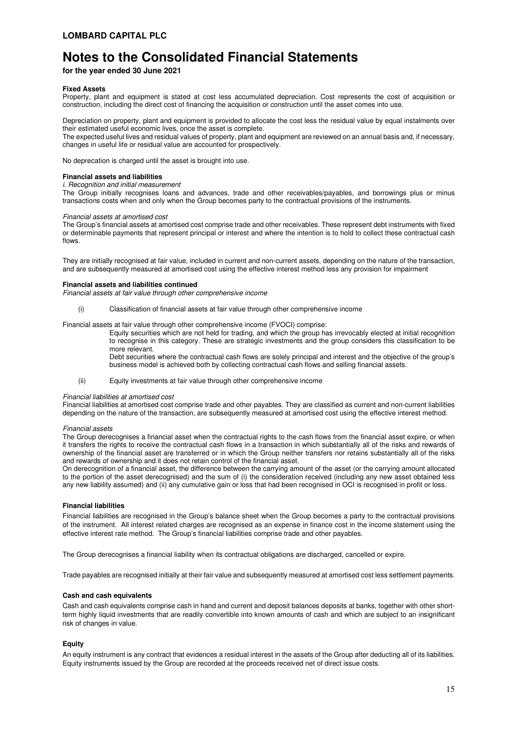## **for the year ended 30 June 2021**

#### **Fixed Assets**

Property, plant and equipment is stated at cost less accumulated depreciation. Cost represents the cost of acquisition or construction, including the direct cost of financing the acquisition or construction until the asset comes into use.

Depreciation on property, plant and equipment is provided to allocate the cost less the residual value by equal instalments over their estimated useful economic lives, once the asset is complete.

The expected useful lives and residual values of property, plant and equipment are reviewed on an annual basis and, if necessary, changes in useful life or residual value are accounted for prospectively.

No deprecation is charged until the asset is brought into use.

## **Financial assets and liabilities**

## *i. Recognition and initial measurement*

The Group initially recognises loans and advances, trade and other receivables/payables, and borrowings plus or minus transactions costs when and only when the Group becomes party to the contractual provisions of the instruments.

#### *Financial assets at amortised cost*

The Group's financial assets at amortised cost comprise trade and other receivables. These represent debt instruments with fixed or determinable payments that represent principal or interest and where the intention is to hold to collect these contractual cash flows.

They are initially recognised at fair value, included in current and non-current assets, depending on the nature of the transaction, and are subsequently measured at amortised cost using the effective interest method less any provision for impairment

#### **Financial assets and liabilities continued**

*Financial assets at fair value through other comprehensive income*

(i) Classification of financial assets at fair value through other comprehensive income

Financial assets at fair value through other comprehensive income (FVOCI) comprise:

Equity securities which are not held for trading, and which the group has irrevocably elected at initial recognition to recognise in this category. These are strategic investments and the group considers this classification to be more relevant.

Debt securities where the contractual cash flows are solely principal and interest and the objective of the group's business model is achieved both by collecting contractual cash flows and selling financial assets.

(ii) Equity investments at fair value through other comprehensive income

#### *Financial liabilities at amortised cost*

Financial liabilities at amortised cost comprise trade and other payables. They are classified as current and non-current liabilities depending on the nature of the transaction, are subsequently measured at amortised cost using the effective interest method.

#### *Financial assets*

The Group derecognises a financial asset when the contractual rights to the cash flows from the financial asset expire, or when it transfers the rights to receive the contractual cash flows in a transaction in which substantially all of the risks and rewards of ownership of the financial asset are transferred or in which the Group neither transfers nor retains substantially all of the risks and rewards of ownership and it does not retain control of the financial asset.

On derecognition of a financial asset, the difference between the carrying amount of the asset (or the carrying amount allocated to the portion of the asset derecognised) and the sum of (i) the consideration received (including any new asset obtained less any new liability assumed) and (ii) any cumulative gain or loss that had been recognised in OCI is recognised in profit or loss.

## **Financial liabilities**

Financial liabilities are recognised in the Group's balance sheet when the Group becomes a party to the contractual provisions of the instrument. All interest related charges are recognised as an expense in finance cost in the income statement using the effective interest rate method. The Group's financial liabilities comprise trade and other payables.

The Group derecognises a financial liability when its contractual obligations are discharged, cancelled or expire.

Trade payables are recognised initially at their fair value and subsequently measured at amortised cost less settlement payments.

## **Cash and cash equivalents**

Cash and cash equivalents comprise cash in hand and current and deposit balances deposits at banks, together with other shortterm highly liquid investments that are readily convertible into known amounts of cash and which are subject to an insignificant risk of changes in value.

## **Equity**

An equity instrument is any contract that evidences a residual interest in the assets of the Group after deducting all of its liabilities. Equity instruments issued by the Group are recorded at the proceeds received net of direct issue costs.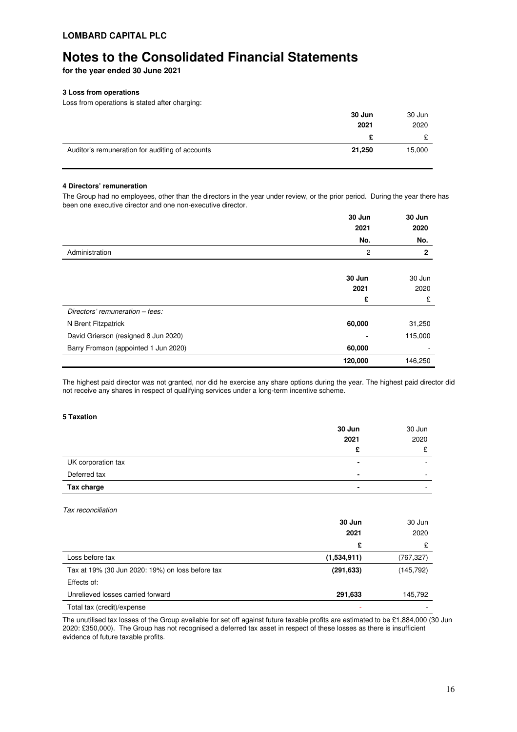**for the year ended 30 June 2021** 

## **3 Loss from operations**

Loss from operations is stated after charging:

|                                                 | 30 Jun | 30 Jun |
|-------------------------------------------------|--------|--------|
|                                                 | 2021   | 2020   |
|                                                 | ₽      |        |
| Auditor's remuneration for auditing of accounts | 21,250 | 15,000 |

## **4 Directors' remuneration**

The Group had no employees, other than the directors in the year under review, or the prior period. During the year there has been one executive director and one non-executive director.

|                                      | 30 Jun<br>2021 | 30 Jun<br>2020 |
|--------------------------------------|----------------|----------------|
|                                      | No.            | No.            |
| Administration                       | $\overline{2}$ | $\mathbf{2}$   |
|                                      | 30 Jun         | 30 Jun         |
|                                      | 2021           | 2020           |
|                                      | £              | £              |
| Directors' remuneration - fees:      |                |                |
| N Brent Fitzpatrick                  | 60,000         | 31,250         |
| David Grierson (resigned 8 Jun 2020) |                | 115,000        |
| Barry Fromson (appointed 1 Jun 2020) | 60,000         | -              |
|                                      | 120,000        | 146,250        |

The highest paid director was not granted, nor did he exercise any share options during the year. The highest paid director did not receive any shares in respect of qualifying services under a long-term incentive scheme.

## **5 Taxation**

| Tax charge         | $\overline{\phantom{0}}$ | -      |
|--------------------|--------------------------|--------|
| Deferred tax       | $\blacksquare$           | -      |
| UK corporation tax | $\blacksquare$           |        |
|                    |                          |        |
|                    | 2021                     | 2020   |
|                    | 30 Jun                   | 30 Jun |

## *Tax reconciliation*

|                                                  | 30 Jun<br>2021 | 30 Jun<br>2020 |
|--------------------------------------------------|----------------|----------------|
|                                                  | £              | £              |
| Loss before tax                                  | (1,534,911)    | (767,327)      |
| Tax at 19% (30 Jun 2020: 19%) on loss before tax | (291, 633)     | (145, 792)     |
| Effects of:                                      |                |                |
| Unrelieved losses carried forward                | 291,633        | 145,792        |
| Total tax (credit)/expense                       |                |                |

The unutilised tax losses of the Group available for set off against future taxable profits are estimated to be £1,884,000 (30 Jun 2020: £350,000). The Group has not recognised a deferred tax asset in respect of these losses as there is insufficient evidence of future taxable profits.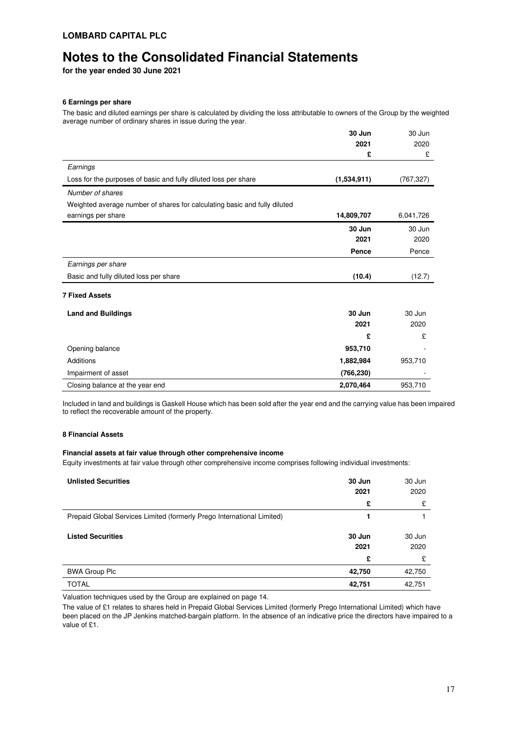**for the year ended 30 June 2021** 

## **6 Earnings per share**

The basic and diluted earnings per share is calculated by dividing the loss attributable to owners of the Group by the weighted average number of ordinary shares in issue during the year.

|                                                                           | 30 Jun      | 30 Jun     |
|---------------------------------------------------------------------------|-------------|------------|
|                                                                           | 2021        | 2020       |
|                                                                           | £           | £          |
| Earnings                                                                  |             |            |
| Loss for the purposes of basic and fully diluted loss per share           | (1,534,911) | (767, 327) |
| Number of shares                                                          |             |            |
| Weighted average number of shares for calculating basic and fully diluted |             |            |
| earnings per share                                                        | 14,809,707  | 6,041,726  |
|                                                                           | 30 Jun      | 30 Jun     |
|                                                                           | 2021        | 2020       |
|                                                                           | Pence       | Pence      |
| Earnings per share                                                        |             |            |
| Basic and fully diluted loss per share                                    | (10.4)      | (12.7)     |
| <b>7 Fixed Assets</b>                                                     |             |            |
| <b>Land and Buildings</b>                                                 | 30 Jun      | 30 Jun     |
|                                                                           | 2021        | 2020       |
|                                                                           | £           | £          |
| Opening balance                                                           | 953,710     |            |
| <b>Additions</b>                                                          | 1,882,984   | 953,710    |
| Impairment of asset                                                       | (766, 230)  |            |
| Closing balance at the year end                                           | 2,070,464   | 953,710    |

Included in land and buildings is Gaskell House which has been sold after the year end and the carrying value has been impaired to reflect the recoverable amount of the property.

## **8 Financial Assets**

## **Financial assets at fair value through other comprehensive income**

Equity investments at fair value through other comprehensive income comprises following individual investments:

| <b>Unlisted Securities</b>                                             | 30 Jun<br>2021 | 30 Jun<br>2020 |
|------------------------------------------------------------------------|----------------|----------------|
|                                                                        | £              | £              |
| Prepaid Global Services Limited (formerly Prego International Limited) |                |                |
| <b>Listed Securities</b>                                               | 30 Jun<br>2021 | 30 Jun<br>2020 |
|                                                                        | £              | £              |
| <b>BWA Group Plc</b>                                                   | 42,750         | 42,750         |
| <b>TOTAL</b>                                                           | 42,751         | 42,751         |

Valuation techniques used by the Group are explained on page 14.

The value of £1 relates to shares held in Prepaid Global Services Limited (formerly Prego International Limited) which have been placed on the JP Jenkins matched-bargain platform. In the absence of an indicative price the directors have impaired to a value of £1.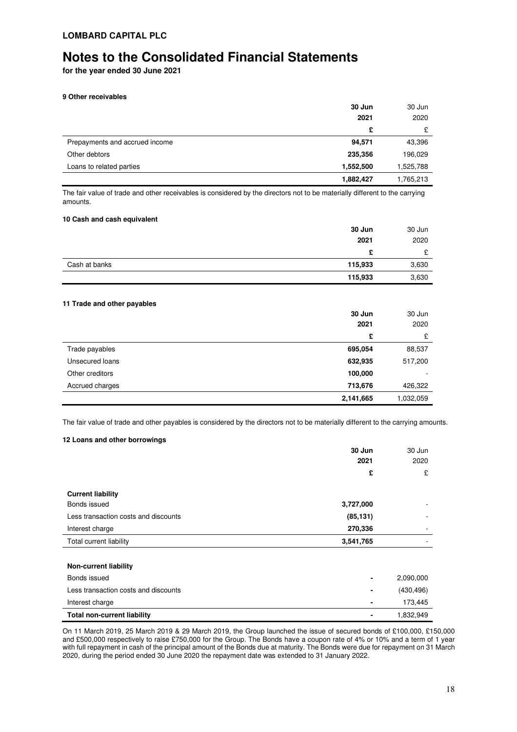**for the year ended 30 June 2021** 

## **9 Other receivables**

|                                | 30 Jun<br>2021 | 30 Jun<br>2020 |
|--------------------------------|----------------|----------------|
|                                | £              | £              |
| Prepayments and accrued income | 94,571         | 43,396         |
| Other debtors                  | 235,356        | 196,029        |
| Loans to related parties       | 1,552,500      | 1,525,788      |
|                                | 1,882,427      | 1,765,213      |

The fair value of trade and other receivables is considered by the directors not to be materially different to the carrying amounts.

## **10 Cash and cash equivalent**

|               | 30 Jun  | 30 Jun |
|---------------|---------|--------|
|               | 2021    | 2020   |
|               |         | ≏<br>∼ |
| Cash at banks | 115,933 | 3,630  |
|               | 115,933 | 3,630  |

## **11 Trade and other payables**

|                 | 30 Jun    | 30 Jun    |
|-----------------|-----------|-----------|
|                 | 2021      | 2020      |
|                 | £         | £         |
| Trade payables  | 695,054   | 88,537    |
| Unsecured loans | 632,935   | 517,200   |
| Other creditors | 100,000   |           |
| Accrued charges | 713,676   | 426,322   |
|                 | 2,141,665 | 1,032,059 |

The fair value of trade and other payables is considered by the directors not to be materially different to the carrying amounts.

## **12 Loans and other borrowings**

|                                      | 30 Jun    | 30 Jun     |
|--------------------------------------|-----------|------------|
|                                      | 2021      | 2020       |
|                                      | £         | £          |
| <b>Current liability</b>             |           |            |
| Bonds issued                         | 3,727,000 |            |
| Less transaction costs and discounts | (85, 131) |            |
| Interest charge                      | 270,336   |            |
| Total current liability              | 3,541,765 |            |
|                                      |           |            |
| <b>Non-current liability</b>         |           |            |
| Bonds issued                         |           | 2,090,000  |
| Less transaction costs and discounts |           | (430, 496) |
| Interest charge                      |           | 173,445    |
| <b>Total non-current liability</b>   |           | 1,832,949  |

On 11 March 2019, 25 March 2019 & 29 March 2019, the Group launched the issue of secured bonds of £100,000, £150,000 and £500,000 respectively to raise £750,000 for the Group. The Bonds have a coupon rate of 4% or 10% and a term of 1 year with full repayment in cash of the principal amount of the Bonds due at maturity. The Bonds were due for repayment on 31 March 2020, during the period ended 30 June 2020 the repayment date was extended to 31 January 2022.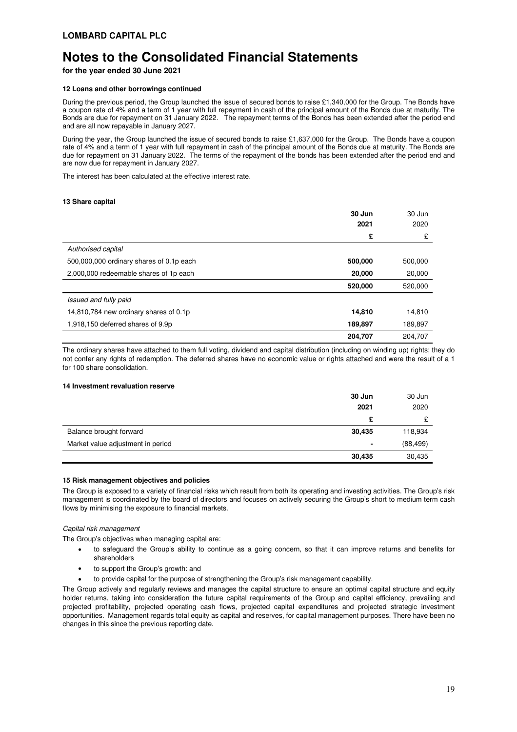## **for the year ended 30 June 2021**

## **12 Loans and other borrowings continued**

During the previous period, the Group launched the issue of secured bonds to raise £1,340,000 for the Group. The Bonds have a coupon rate of 4% and a term of 1 year with full repayment in cash of the principal amount of the Bonds due at maturity. The Bonds are due for repayment on 31 January 2022. The repayment terms of the Bonds has been extended after the period end and are all now repayable in January 2027.

During the year, the Group launched the issue of secured bonds to raise £1,637,000 for the Group. The Bonds have a coupon rate of 4% and a term of 1 year with full repayment in cash of the principal amount of the Bonds due at maturity. The Bonds are due for repayment on 31 January 2022. The terms of the repayment of the bonds has been extended after the period end and are now due for repayment in January 2027.

The interest has been calculated at the effective interest rate.

## **13 Share capital**

|                                          | 30 Jun  | 30 Jun  |
|------------------------------------------|---------|---------|
|                                          | 2021    | 2020    |
|                                          | £       | £       |
| Authorised capital                       |         |         |
| 500,000,000 ordinary shares of 0.1p each | 500,000 | 500,000 |
| 2,000,000 redeemable shares of 1p each   | 20,000  | 20,000  |
|                                          | 520,000 | 520,000 |
| Issued and fully paid                    |         |         |
| 14,810,784 new ordinary shares of 0.1p   | 14,810  | 14,810  |
| 1,918,150 deferred shares of 9.9p        | 189,897 | 189,897 |
|                                          | 204,707 | 204.707 |

The ordinary shares have attached to them full voting, dividend and capital distribution (including on winding up) rights; they do not confer any rights of redemption. The deferred shares have no economic value or rights attached and were the result of a 1 for 100 share consolidation.

## **14 Investment revaluation reserve**

|                                   | 30 Jun         | 30 Jun    |
|-----------------------------------|----------------|-----------|
|                                   | 2021           | 2020      |
|                                   | £              | c         |
| Balance brought forward           | 30,435         | 118,934   |
| Market value adjustment in period | $\blacksquare$ | (88, 499) |
|                                   | 30,435         | 30,435    |

## **15 Risk management objectives and policies**

The Group is exposed to a variety of financial risks which result from both its operating and investing activities. The Group's risk management is coordinated by the board of directors and focuses on actively securing the Group's short to medium term cash flows by minimising the exposure to financial markets.

## *Capital risk management*

The Group's objectives when managing capital are:

- to safeguard the Group's ability to continue as a going concern, so that it can improve returns and benefits for shareholders
- to support the Group's growth: and
- to provide capital for the purpose of strengthening the Group's risk management capability.

The Group actively and regularly reviews and manages the capital structure to ensure an optimal capital structure and equity holder returns, taking into consideration the future capital requirements of the Group and capital efficiency, prevailing and projected profitability, projected operating cash flows, projected capital expenditures and projected strategic investment opportunities. Management regards total equity as capital and reserves, for capital management purposes. There have been no changes in this since the previous reporting date.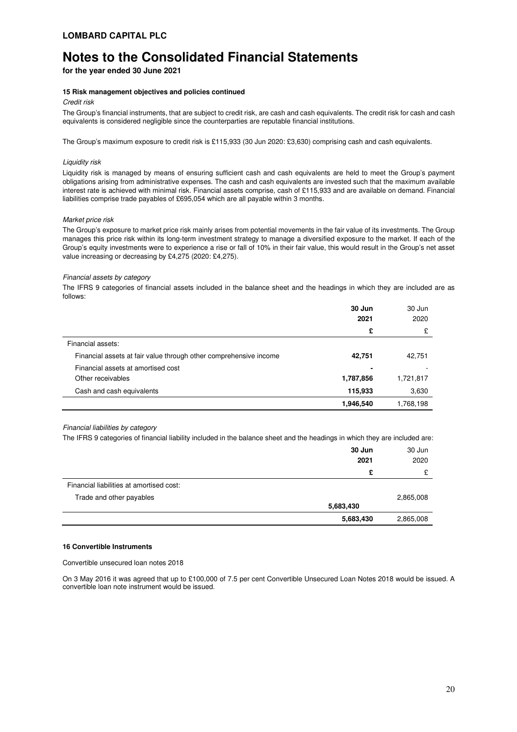**for the year ended 30 June 2021** 

## **15 Risk management objectives and policies continued**

## *Credit risk*

The Group's financial instruments, that are subject to credit risk, are cash and cash equivalents. The credit risk for cash and cash equivalents is considered negligible since the counterparties are reputable financial institutions.

The Group's maximum exposure to credit risk is £115,933 (30 Jun 2020: £3,630) comprising cash and cash equivalents.

## *Liquidity risk*

Liquidity risk is managed by means of ensuring sufficient cash and cash equivalents are held to meet the Group's payment obligations arising from administrative expenses. The cash and cash equivalents are invested such that the maximum available interest rate is achieved with minimal risk. Financial assets comprise, cash of £115,933 and are available on demand. Financial liabilities comprise trade payables of £695,054 which are all payable within 3 months.

## *Market price risk*

The Group's exposure to market price risk mainly arises from potential movements in the fair value of its investments. The Group manages this price risk within its long-term investment strategy to manage a diversified exposure to the market. If each of the Group's equity investments were to experience a rise or fall of 10% in their fair value, this would result in the Group's net asset value increasing or decreasing by £4,275 (2020: £4,275).

## *Financial assets by category*

The IFRS 9 categories of financial assets included in the balance sheet and the headings in which they are included are as follows:

|                                                                   | 30 Jun<br>2021 | 30 Jun<br>2020 |
|-------------------------------------------------------------------|----------------|----------------|
|                                                                   | £              | £              |
| Financial assets:                                                 |                |                |
| Financial assets at fair value through other comprehensive income | 42,751         | 42,751         |
| Financial assets at amortised cost                                |                |                |
| Other receivables                                                 | 1,787,856      | 1,721,817      |
| Cash and cash equivalents                                         | 115,933        | 3,630          |
|                                                                   | 1,946,540      | 1,768,198      |

## *Financial liabilities by category*

The IFRS 9 categories of financial liability included in the balance sheet and the headings in which they are included are:

|                                          | 30 Jun<br>2021 | 30 Jun<br>2020 |
|------------------------------------------|----------------|----------------|
|                                          | £              | £              |
| Financial liabilities at amortised cost: |                |                |
| Trade and other payables                 | 5,683,430      | 2,865,008      |
|                                          | 5,683,430      | 2,865,008      |

## **16 Convertible Instruments**

Convertible unsecured loan notes 2018

On 3 May 2016 it was agreed that up to £100,000 of 7.5 per cent Convertible Unsecured Loan Notes 2018 would be issued. A convertible loan note instrument would be issued.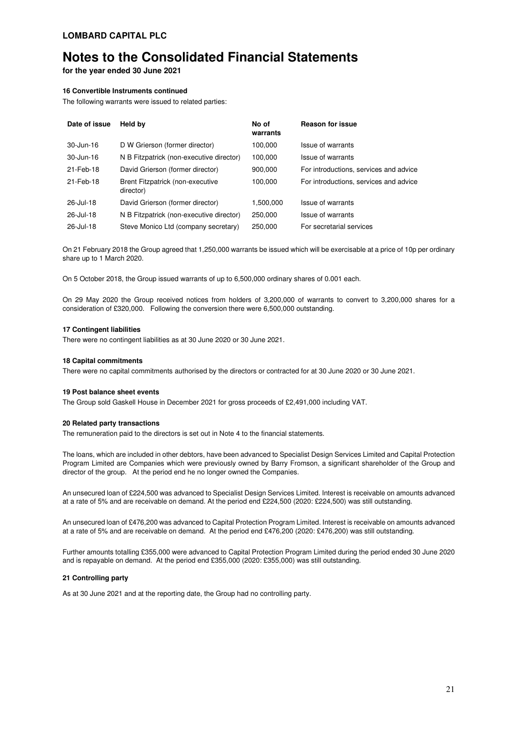**for the year ended 30 June 2021** 

## **16 Convertible Instruments continued**

The following warrants were issued to related parties:

| Date of issue | Held by                                       | No of<br>warrants | <b>Reason for issue</b>                |
|---------------|-----------------------------------------------|-------------------|----------------------------------------|
| 30-Jun-16     | D W Grierson (former director)                | 100,000           | Issue of warrants                      |
| 30-Jun-16     | N B Fitzpatrick (non-executive director)      | 100,000           | Issue of warrants                      |
| 21-Feb-18     | David Grierson (former director)              | 900,000           | For introductions, services and advice |
| 21-Feb-18     | Brent Fitzpatrick (non-executive<br>director) | 100,000           | For introductions, services and advice |
| 26-Jul-18     | David Grierson (former director)              | 1,500,000         | Issue of warrants                      |
| 26-Jul-18     | N B Fitzpatrick (non-executive director)      | 250,000           | Issue of warrants                      |
| 26-Jul-18     | Steve Monico Ltd (company secretary)          | 250,000           | For secretarial services               |

On 21 February 2018 the Group agreed that 1,250,000 warrants be issued which will be exercisable at a price of 10p per ordinary share up to 1 March 2020.

On 5 October 2018, the Group issued warrants of up to 6,500,000 ordinary shares of 0.001 each.

On 29 May 2020 the Group received notices from holders of 3,200,000 of warrants to convert to 3,200,000 shares for a consideration of £320,000. Following the conversion there were 6,500,000 outstanding.

## **17 Contingent liabilities**

There were no contingent liabilities as at 30 June 2020 or 30 June 2021.

## **18 Capital commitments**

There were no capital commitments authorised by the directors or contracted for at 30 June 2020 or 30 June 2021.

## **19 Post balance sheet events**

The Group sold Gaskell House in December 2021 for gross proceeds of £2,491,000 including VAT.

## **20 Related party transactions**

The remuneration paid to the directors is set out in Note 4 to the financial statements.

The loans, which are included in other debtors, have been advanced to Specialist Design Services Limited and Capital Protection Program Limited are Companies which were previously owned by Barry Fromson, a significant shareholder of the Group and director of the group. At the period end he no longer owned the Companies.

An unsecured loan of £224,500 was advanced to Specialist Design Services Limited. Interest is receivable on amounts advanced at a rate of 5% and are receivable on demand. At the period end £224,500 (2020: £224,500) was still outstanding.

An unsecured loan of £476,200 was advanced to Capital Protection Program Limited. Interest is receivable on amounts advanced at a rate of 5% and are receivable on demand. At the period end £476,200 (2020: £476,200) was still outstanding.

Further amounts totalling £355,000 were advanced to Capital Protection Program Limited during the period ended 30 June 2020 and is repayable on demand. At the period end £355,000 (2020: £355,000) was still outstanding.

## **21 Controlling party**

As at 30 June 2021 and at the reporting date, the Group had no controlling party.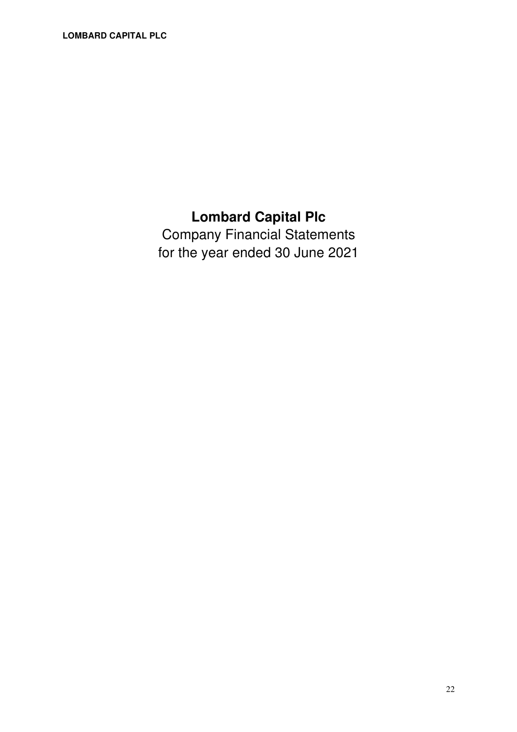# **Lombard Capital Plc**

Company Financial Statements for the year ended 30 June 2021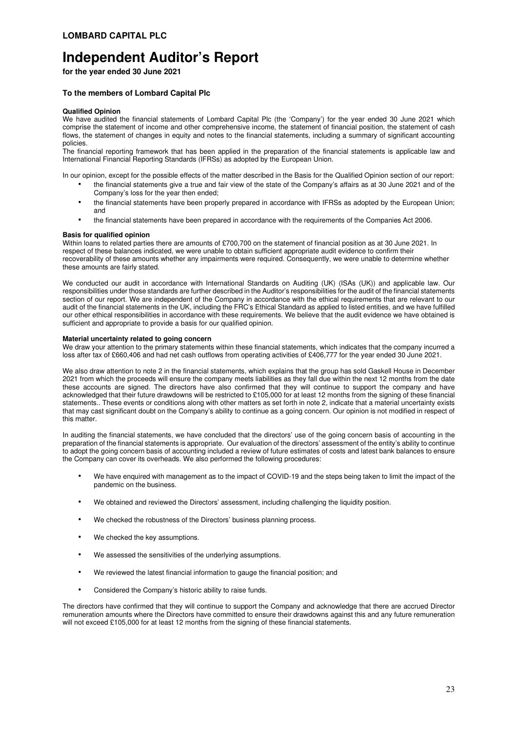**for the year ended 30 June 2021** 

## **To the members of Lombard Capital Plc**

## **Qualified Opinion**

We have audited the financial statements of Lombard Capital Plc (the 'Company') for the year ended 30 June 2021 which comprise the statement of income and other comprehensive income, the statement of financial position, the statement of cash flows, the statement of changes in equity and notes to the financial statements, including a summary of significant accounting policies.

The financial reporting framework that has been applied in the preparation of the financial statements is applicable law and International Financial Reporting Standards (IFRSs) as adopted by the European Union.

In our opinion, except for the possible effects of the matter described in the Basis for the Qualified Opinion section of our report:

- the financial statements give a true and fair view of the state of the Company's affairs as at 30 June 2021 and of the Company's loss for the year then ended;
- the financial statements have been properly prepared in accordance with IFRSs as adopted by the European Union; and
- the financial statements have been prepared in accordance with the requirements of the Companies Act 2006.

## **Basis for qualified opinion**

Within loans to related parties there are amounts of £700,700 on the statement of financial position as at 30 June 2021. In respect of these balances indicated, we were unable to obtain sufficient appropriate audit evidence to confirm their recoverability of these amounts whether any impairments were required. Consequently, we were unable to determine whether these amounts are fairly stated.

We conducted our audit in accordance with International Standards on Auditing (UK) (ISAs (UK)) and applicable law. Our responsibilities under those standards are further described in the Auditor's responsibilities for the audit of the financial statements section of our report. We are independent of the Company in accordance with the ethical requirements that are relevant to our audit of the financial statements in the UK, including the FRC's Ethical Standard as applied to listed entities, and we have fulfilled our other ethical responsibilities in accordance with these requirements. We believe that the audit evidence we have obtained is sufficient and appropriate to provide a basis for our qualified opinion.

## **Material uncertainty related to going concern**

We draw your attention to the primary statements within these financial statements, which indicates that the company incurred a loss after tax of £660,406 and had net cash outflows from operating activities of £406,777 for the year ended 30 June 2021.

We also draw attention to note 2 in the financial statements, which explains that the group has sold Gaskell House in December 2021 from which the proceeds will ensure the company meets liabilities as they fall due within the next 12 months from the date these accounts are signed. The directors have also confirmed that they will continue to support the company and have acknowledged that their future drawdowns will be restricted to £105,000 for at least 12 months from the signing of these financial statements.. These events or conditions along with other matters as set forth in note 2, indicate that a material uncertainty exists that may cast significant doubt on the Company's ability to continue as a going concern. Our opinion is not modified in respect of this matter.

In auditing the financial statements, we have concluded that the directors' use of the going concern basis of accounting in the preparation of the financial statements is appropriate. Our evaluation of the directors' assessment of the entity's ability to continue to adopt the going concern basis of accounting included a review of future estimates of costs and latest bank balances to ensure the Company can cover its overheads. We also performed the following procedures:

- We have enquired with management as to the impact of COVID-19 and the steps being taken to limit the impact of the pandemic on the business.
- We obtained and reviewed the Directors' assessment, including challenging the liquidity position.
- We checked the robustness of the Directors' business planning process.
- We checked the key assumptions.
- We assessed the sensitivities of the underlying assumptions.
- We reviewed the latest financial information to gauge the financial position; and
- Considered the Company's historic ability to raise funds.

The directors have confirmed that they will continue to support the Company and acknowledge that there are accrued Director remuneration amounts where the Directors have committed to ensure their drawdowns against this and any future remuneration will not exceed £105,000 for at least 12 months from the signing of these financial statements.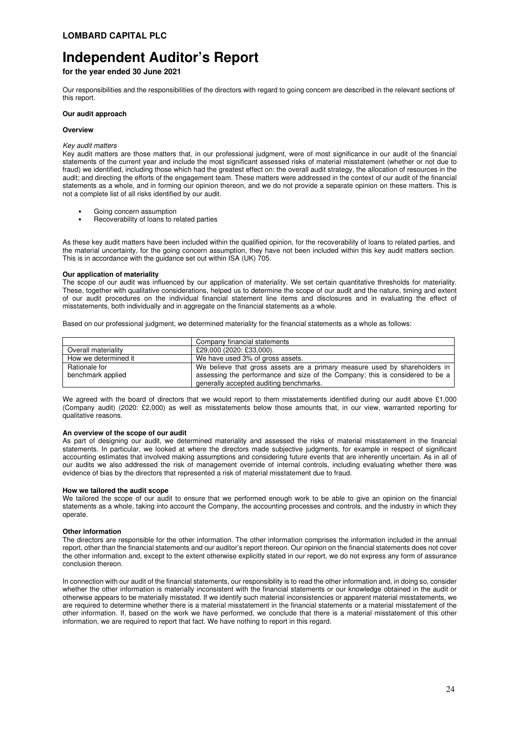**for the year ended 30 June 2021** 

Our responsibilities and the responsibilities of the directors with regard to going concern are described in the relevant sections of this report.

## **Our audit approach**

#### **Overview**

## *Key audit matters*

Key audit matters are those matters that, in our professional judgment, were of most significance in our audit of the financial statements of the current year and include the most significant assessed risks of material misstatement (whether or not due to fraud) we identified, including those which had the greatest effect on: the overall audit strategy, the allocation of resources in the audit; and directing the efforts of the engagement team. These matters were addressed in the context of our audit of the financial statements as a whole, and in forming our opinion thereon, and we do not provide a separate opinion on these matters. This is not a complete list of all risks identified by our audit.

- Going concern assumption
- Recoverability of loans to related parties

As these key audit matters have been included within the qualified opinion, for the recoverability of loans to related parties, and the material uncertainty, for the going concern assumption, they have not been included within this key audit matters section. This is in accordance with the guidance set out within ISA (UK) 705.

#### **Our application of materiality**

The scope of our audit was influenced by our application of materiality. We set certain quantitative thresholds for materiality. These, together with qualitative considerations, helped us to determine the scope of our audit and the nature, timing and extent of our audit procedures on the individual financial statement line items and disclosures and in evaluating the effect of misstatements, both individually and in aggregate on the financial statements as a whole.

Based on our professional judgment, we determined materiality for the financial statements as a whole as follows:

|                                    | Company financial statements                                                                                                                                                                           |
|------------------------------------|--------------------------------------------------------------------------------------------------------------------------------------------------------------------------------------------------------|
| Overall materiality                | £29,000 (2020: £33,000).                                                                                                                                                                               |
| How we determined it               | We have used 3% of gross assets.                                                                                                                                                                       |
| Rationale for<br>benchmark applied | We believe that gross assets are a primary measure used by shareholders in<br>assessing the performance and size of the Company; this is considered to be a<br>generally accepted auditing benchmarks. |

We agreed with the board of directors that we would report to them misstatements identified during our audit above £1,000 (Company audit) (2020: £2,000) as well as misstatements below those amounts that, in our view, warranted reporting for qualitative reasons.

## **An overview of the scope of our audit**

As part of designing our audit, we determined materiality and assessed the risks of material misstatement in the financial statements. In particular, we looked at where the directors made subjective judgments, for example in respect of significant accounting estimates that involved making assumptions and considering future events that are inherently uncertain. As in all of our audits we also addressed the risk of management override of internal controls, including evaluating whether there was evidence of bias by the directors that represented a risk of material misstatement due to fraud.

#### **How we tailored the audit scope**

We tailored the scope of our audit to ensure that we performed enough work to be able to give an opinion on the financial statements as a whole, taking into account the Company, the accounting processes and controls, and the industry in which they operate.

## **Other information**

The directors are responsible for the other information. The other information comprises the information included in the annual report, other than the financial statements and our auditor's report thereon. Our opinion on the financial statements does not cover the other information and, except to the extent otherwise explicitly stated in our report, we do not express any form of assurance conclusion thereon.

In connection with our audit of the financial statements, our responsibility is to read the other information and, in doing so, consider whether the other information is materially inconsistent with the financial statements or our knowledge obtained in the audit or otherwise appears to be materially misstated. If we identify such material inconsistencies or apparent material misstatements, we are required to determine whether there is a material misstatement in the financial statements or a material misstatement of the other information. If, based on the work we have performed, we conclude that there is a material misstatement of this other information, we are required to report that fact. We have nothing to report in this regard.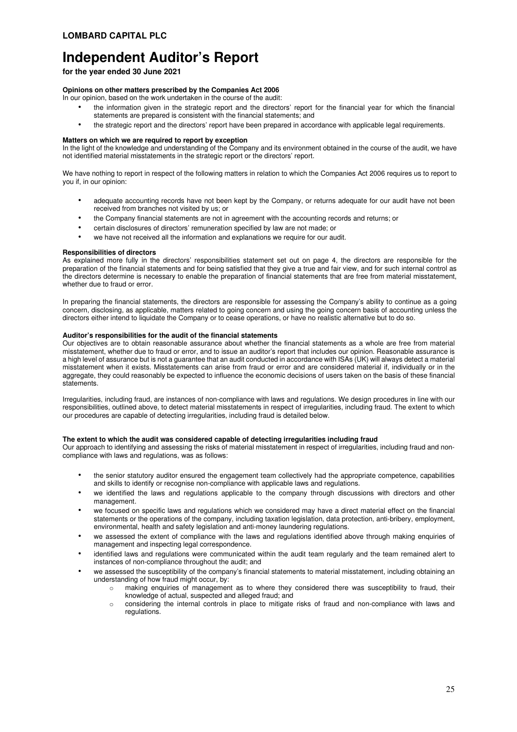## **for the year ended 30 June 2021**

## **Opinions on other matters prescribed by the Companies Act 2006**

In our opinion, based on the work undertaken in the course of the audit:

- the information given in the strategic report and the directors' report for the financial year for which the financial statements are prepared is consistent with the financial statements; and
- the strategic report and the directors' report have been prepared in accordance with applicable legal requirements.

## **Matters on which we are required to report by exception**

In the light of the knowledge and understanding of the Company and its environment obtained in the course of the audit, we have not identified material misstatements in the strategic report or the directors' report.

We have nothing to report in respect of the following matters in relation to which the Companies Act 2006 requires us to report to you if, in our opinion:

- adequate accounting records have not been kept by the Company, or returns adequate for our audit have not been received from branches not visited by us; or
- the Company financial statements are not in agreement with the accounting records and returns; or
- certain disclosures of directors' remuneration specified by law are not made; or
- we have not received all the information and explanations we require for our audit.

## **Responsibilities of directors**

As explained more fully in the directors' responsibilities statement set out on page 4, the directors are responsible for the preparation of the financial statements and for being satisfied that they give a true and fair view, and for such internal control as the directors determine is necessary to enable the preparation of financial statements that are free from material misstatement, whether due to fraud or error.

In preparing the financial statements, the directors are responsible for assessing the Company's ability to continue as a going concern, disclosing, as applicable, matters related to going concern and using the going concern basis of accounting unless the directors either intend to liquidate the Company or to cease operations, or have no realistic alternative but to do so.

## **Auditor's responsibilities for the audit of the financial statements**

Our objectives are to obtain reasonable assurance about whether the financial statements as a whole are free from material misstatement, whether due to fraud or error, and to issue an auditor's report that includes our opinion. Reasonable assurance is a high level of assurance but is not a guarantee that an audit conducted in accordance with ISAs (UK) will always detect a material misstatement when it exists. Misstatements can arise from fraud or error and are considered material if, individually or in the aggregate, they could reasonably be expected to influence the economic decisions of users taken on the basis of these financial statements.

Irregularities, including fraud, are instances of non-compliance with laws and regulations. We design procedures in line with our responsibilities, outlined above, to detect material misstatements in respect of irregularities, including fraud. The extent to which our procedures are capable of detecting irregularities, including fraud is detailed below.

## **The extent to which the audit was considered capable of detecting irregularities including fraud**

Our approach to identifying and assessing the risks of material misstatement in respect of irregularities, including fraud and noncompliance with laws and regulations, was as follows:

- the senior statutory auditor ensured the engagement team collectively had the appropriate competence, capabilities and skills to identify or recognise non-compliance with applicable laws and regulations.
- we identified the laws and regulations applicable to the company through discussions with directors and other management.
- we focused on specific laws and regulations which we considered may have a direct material effect on the financial statements or the operations of the company, including taxation legislation, data protection, anti-bribery, employment, environmental, health and safety legislation and anti-money laundering regulations.
- we assessed the extent of compliance with the laws and regulations identified above through making enquiries of management and inspecting legal correspondence.
- identified laws and regulations were communicated within the audit team regularly and the team remained alert to instances of non-compliance throughout the audit; and
- we assessed the susceptibility of the company's financial statements to material misstatement, including obtaining an understanding of how fraud might occur, by:
	- making enquiries of management as to where they considered there was susceptibility to fraud, their knowledge of actual, suspected and alleged fraud; and
		- o considering the internal controls in place to mitigate risks of fraud and non-compliance with laws and regulations.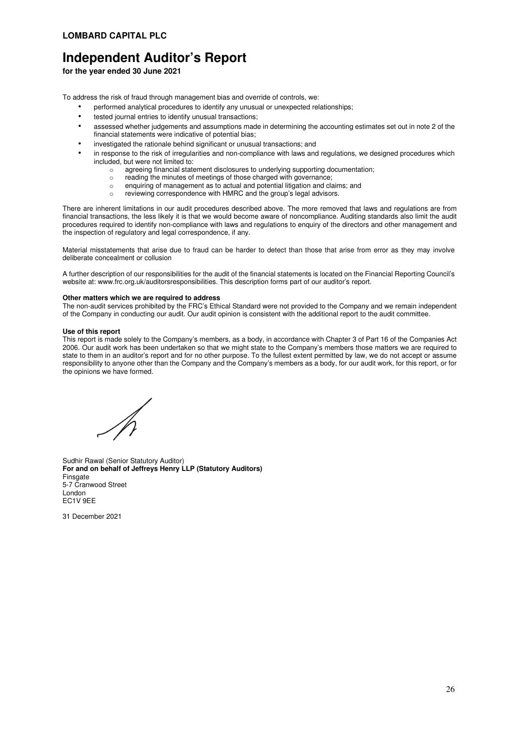**for the year ended 30 June 2021** 

To address the risk of fraud through management bias and override of controls, we:

- performed analytical procedures to identify any unusual or unexpected relationships;
- tested journal entries to identify unusual transactions;
- assessed whether judgements and assumptions made in determining the accounting estimates set out in note 2 of the financial statements were indicative of potential bias;
- investigated the rationale behind significant or unusual transactions; and
- in response to the risk of irregularities and non-compliance with laws and regulations, we designed procedures which included, but were not limited to:
	- o agreeing financial statement disclosures to underlying supporting documentation;
	- o reading the minutes of meetings of those charged with governance;<br>
	o enquiring of management as to actual and potential litigation and cla
	- enquiring of management as to actual and potential litigation and claims; and
	- o reviewing correspondence with HMRC and the group's legal advisors.

There are inherent limitations in our audit procedures described above. The more removed that laws and regulations are from financial transactions, the less likely it is that we would become aware of noncompliance. Auditing standards also limit the audit procedures required to identify non-compliance with laws and regulations to enquiry of the directors and other management and the inspection of regulatory and legal correspondence, if any.

Material misstatements that arise due to fraud can be harder to detect than those that arise from error as they may involve deliberate concealment or collusion

A further description of our responsibilities for the audit of the financial statements is located on the Financial Reporting Council's website at: www.frc.org.uk/auditorsresponsibilities. This description forms part of our auditor's report.

## **Other matters which we are required to address**

The non-audit services prohibited by the FRC's Ethical Standard were not provided to the Company and we remain independent of the Company in conducting our audit. Our audit opinion is consistent with the additional report to the audit committee.

## **Use of this report**

This report is made solely to the Company's members, as a body, in accordance with Chapter 3 of Part 16 of the Companies Act 2006. Our audit work has been undertaken so that we might state to the Company's members those matters we are required to state to them in an auditor's report and for no other purpose. To the fullest extent permitted by law, we do not accept or assume responsibility to anyone other than the Company and the Company's members as a body, for our audit work, for this report, or for the opinions we have formed.

Sudhir Rawal (Senior Statutory Auditor) **For and on behalf of Jeffreys Henry LLP (Statutory Auditors)**  Finsgate 5-7 Cranwood Street London EC1V 9EE

31 December 2021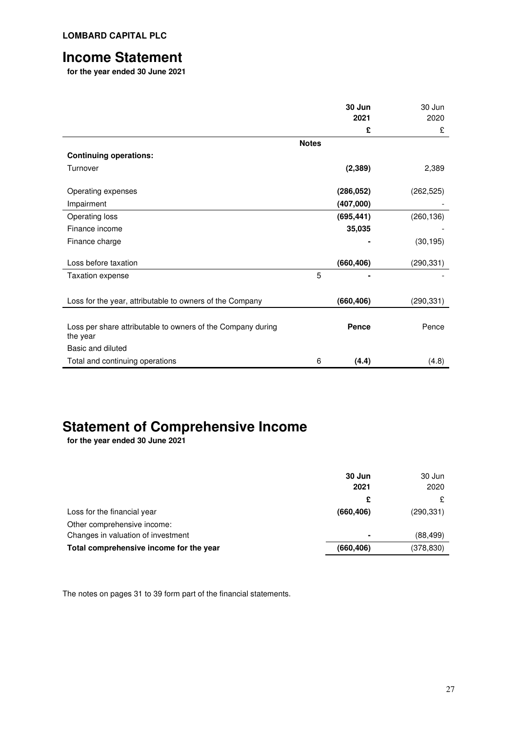## **Income Statement**

**for the year ended 30 June 2021** 

|                                                                         |              | 30 Jun<br>2021 | 30 Jun<br>2020 |
|-------------------------------------------------------------------------|--------------|----------------|----------------|
|                                                                         |              | £              | £              |
|                                                                         | <b>Notes</b> |                |                |
| <b>Continuing operations:</b>                                           |              |                |                |
| Turnover                                                                |              | (2, 389)       | 2,389          |
| Operating expenses                                                      |              | (286, 052)     | (262, 525)     |
| Impairment                                                              |              | (407,000)      |                |
| Operating loss                                                          |              | (695, 441)     | (260, 136)     |
| Finance income                                                          |              | 35,035         |                |
| Finance charge                                                          |              |                | (30, 195)      |
| Loss before taxation                                                    |              | (660, 406)     | (290, 331)     |
| Taxation expense                                                        | 5            |                |                |
| Loss for the year, attributable to owners of the Company                |              | (660, 406)     | (290,331)      |
|                                                                         |              |                |                |
| Loss per share attributable to owners of the Company during<br>the year |              | <b>Pence</b>   | Pence          |
| Basic and diluted                                                       |              |                |                |
| Total and continuing operations                                         | 6            | (4.4)          | (4.8)          |

# **Statement of Comprehensive Income**

**for the year ended 30 June 2021** 

|                                         | 30 Jun<br>2021 | 30 Jun<br>2020 |
|-----------------------------------------|----------------|----------------|
|                                         | £              | £              |
| Loss for the financial year             | (660, 406)     | (290, 331)     |
| Other comprehensive income:             |                |                |
| Changes in valuation of investment      |                | (88, 499)      |
| Total comprehensive income for the year | (660, 406)     | (378, 830)     |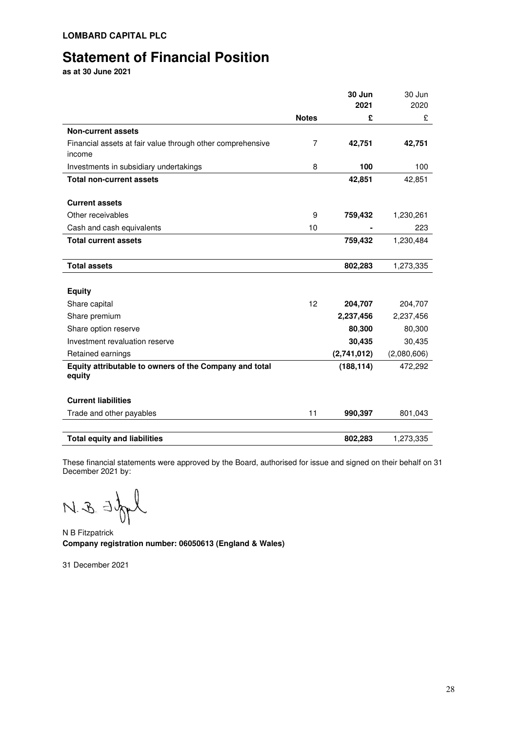# **Statement of Financial Position**

**as at 30 June 2021** 

|                                                                  |              | 30 Jun<br>2021 | 30 Jun<br>2020 |
|------------------------------------------------------------------|--------------|----------------|----------------|
|                                                                  | <b>Notes</b> | £              | £              |
| <b>Non-current assets</b>                                        |              |                |                |
| Financial assets at fair value through other comprehensive       | 7            | 42,751         | 42,751         |
| income                                                           |              |                |                |
| Investments in subsidiary undertakings                           | 8            | 100            | 100            |
| <b>Total non-current assets</b>                                  |              | 42,851         | 42,851         |
|                                                                  |              |                |                |
| <b>Current assets</b>                                            |              |                |                |
| Other receivables                                                | 9            | 759,432        | 1,230,261      |
| Cash and cash equivalents                                        | 10           |                | 223            |
| <b>Total current assets</b>                                      |              | 759,432        | 1,230,484      |
|                                                                  |              |                |                |
| <b>Total assets</b>                                              |              | 802,283        | 1,273,335      |
|                                                                  |              |                |                |
| <b>Equity</b>                                                    |              |                |                |
| Share capital                                                    | 12           | 204,707        | 204,707        |
| Share premium                                                    |              | 2,237,456      | 2,237,456      |
| Share option reserve                                             |              | 80,300         | 80,300         |
| Investment revaluation reserve                                   |              | 30,435         | 30,435         |
| Retained earnings                                                |              | (2,741,012)    | (2,080,606)    |
| Equity attributable to owners of the Company and total<br>equity |              | (188, 114)     | 472,292        |
| <b>Current liabilities</b>                                       |              |                |                |
| Trade and other payables                                         | 11           | 990.397        | 801,043        |
|                                                                  |              |                |                |
| <b>Total equity and liabilities</b>                              |              | 802,283        | 1,273,335      |

These financial statements were approved by the Board, authorised for issue and signed on their behalf on 31 December 2021 by:

 $N.B. 3$  $\int$ 

N B Fitzpatrick **Company registration number: 06050613 (England & Wales)**

31 December 2021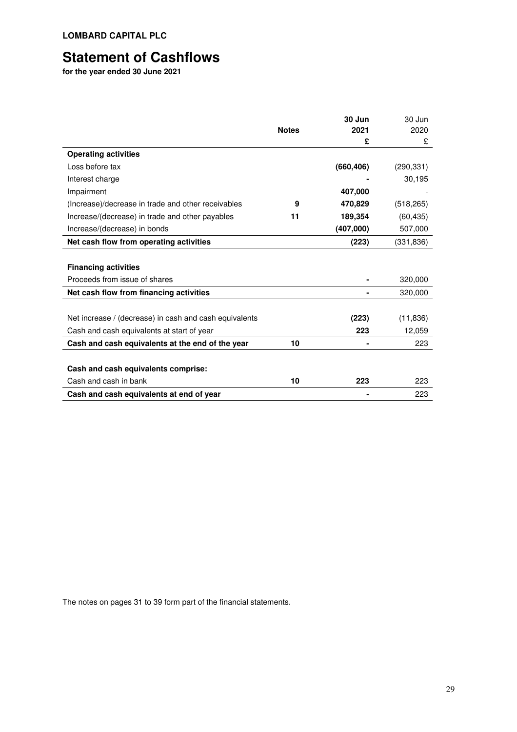# **Statement of Cashflows**

**for the year ended 30 June 2021** 

|                                                        |              | 30 Jun         | 30 Jun     |
|--------------------------------------------------------|--------------|----------------|------------|
|                                                        | <b>Notes</b> | 2021           | 2020       |
|                                                        |              | £              | £          |
| <b>Operating activities</b>                            |              |                |            |
| Loss before tax                                        |              | (660, 406)     | (290, 331) |
| Interest charge                                        |              |                | 30,195     |
| Impairment                                             |              | 407,000        |            |
| (Increase)/decrease in trade and other receivables     | 9            | 470,829        | (518, 265) |
| Increase/(decrease) in trade and other payables        | 11           | 189,354        | (60, 435)  |
| Increase/(decrease) in bonds                           |              | (407,000)      | 507,000    |
| Net cash flow from operating activities                |              | (223)          | (331, 836) |
|                                                        |              |                |            |
| <b>Financing activities</b>                            |              |                |            |
| Proceeds from issue of shares                          |              |                | 320,000    |
| Net cash flow from financing activities                |              | $\blacksquare$ | 320,000    |
|                                                        |              |                |            |
| Net increase / (decrease) in cash and cash equivalents |              | (223)          | (11, 836)  |
| Cash and cash equivalents at start of year             |              | 223            | 12,059     |
| Cash and cash equivalents at the end of the year       | 10           |                | 223        |
|                                                        |              |                |            |
| Cash and cash equivalents comprise:                    |              |                |            |
| Cash and cash in bank                                  | 10           | 223            | 223        |
| Cash and cash equivalents at end of year               |              |                | 223        |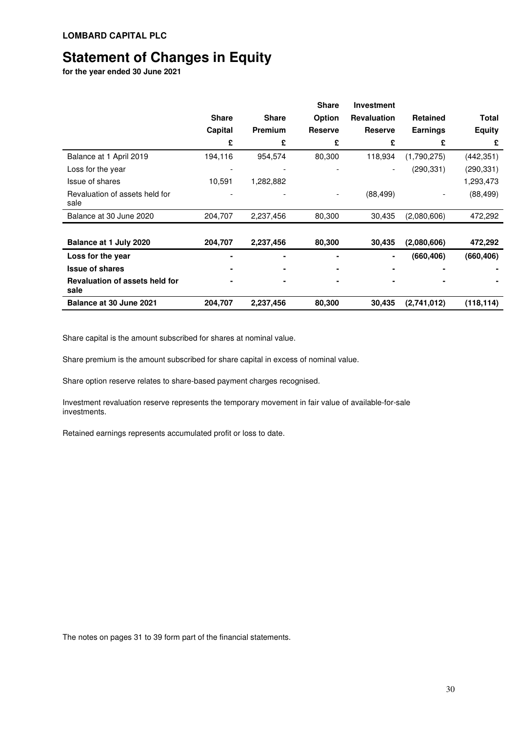# **Statement of Changes in Equity**

**for the year ended 30 June 2021** 

|                                               |              |                | <b>Share</b>   | <b>Investment</b>        |                 |               |
|-----------------------------------------------|--------------|----------------|----------------|--------------------------|-----------------|---------------|
|                                               | <b>Share</b> | <b>Share</b>   | Option         | <b>Revaluation</b>       | <b>Retained</b> | <b>Total</b>  |
|                                               | Capital      | <b>Premium</b> | <b>Reserve</b> | <b>Reserve</b>           | <b>Earnings</b> | <b>Equity</b> |
|                                               | £            | £              | £              | £                        | £               | £             |
| Balance at 1 April 2019                       | 194,116      | 954,574        | 80,300         | 118,934                  | (1,790,275)     | (442, 351)    |
| Loss for the year                             |              |                |                | $\overline{\phantom{a}}$ | (290, 331)      | (290,331)     |
| Issue of shares                               | 10,591       | 1,282,882      |                |                          |                 | 1,293,473     |
| Revaluation of assets held for<br>sale        |              |                |                | (88, 499)                |                 | (88, 499)     |
| Balance at 30 June 2020                       | 204,707      | 2,237,456      | 80,300         | 30,435                   | (2,080,606)     | 472,292       |
|                                               |              |                |                |                          |                 |               |
| Balance at 1 July 2020                        | 204,707      | 2,237,456      | 80,300         | 30,435                   | (2,080,606)     | 472,292       |
| Loss for the year                             |              |                |                | ٠.                       | (660, 406)      | (660, 406)    |
| <b>Issue of shares</b>                        |              |                |                |                          |                 |               |
| <b>Revaluation of assets held for</b><br>sale |              |                |                |                          |                 |               |
| Balance at 30 June 2021                       | 204,707      | 2,237,456      | 80,300         | 30,435                   | (2,741,012)     | (118, 114)    |
|                                               |              |                |                |                          |                 |               |

Share capital is the amount subscribed for shares at nominal value.

Share premium is the amount subscribed for share capital in excess of nominal value.

Share option reserve relates to share-based payment charges recognised.

Investment revaluation reserve represents the temporary movement in fair value of available-for-sale investments.

Retained earnings represents accumulated profit or loss to date.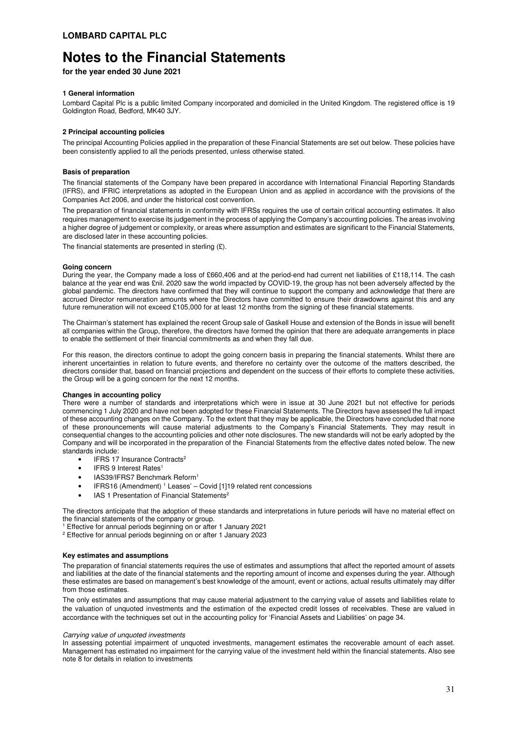**for the year ended 30 June 2021** 

## **1 General information**

Lombard Capital Plc is a public limited Company incorporated and domiciled in the United Kingdom. The registered office is 19 Goldington Road, Bedford, MK40 3JY.

## **2 Principal accounting policies**

The principal Accounting Policies applied in the preparation of these Financial Statements are set out below. These policies have been consistently applied to all the periods presented, unless otherwise stated.

## **Basis of preparation**

The financial statements of the Company have been prepared in accordance with International Financial Reporting Standards (IFRS), and IFRIC interpretations as adopted in the European Union and as applied in accordance with the provisions of the Companies Act 2006, and under the historical cost convention.

The preparation of financial statements in conformity with IFRSs requires the use of certain critical accounting estimates. It also requires management to exercise its judgement in the process of applying the Company's accounting policies. The areas involving a higher degree of judgement or complexity, or areas where assumption and estimates are significant to the Financial Statements, are disclosed later in these accounting policies.

The financial statements are presented in sterling  $(E)$ .

## **Going concern**

During the year, the Company made a loss of £660,406 and at the period-end had current net liabilities of £118,114. The cash balance at the year end was £nil. 2020 saw the world impacted by COVID-19, the group has not been adversely affected by the global pandemic. The directors have confirmed that they will continue to support the company and acknowledge that there are accrued Director remuneration amounts where the Directors have committed to ensure their drawdowns against this and any future remuneration will not exceed £105,000 for at least 12 months from the signing of these financial statements.

The Chairman's statement has explained the recent Group sale of Gaskell House and extension of the Bonds in issue will benefit all companies within the Group, therefore, the directors have formed the opinion that there are adequate arrangements in place to enable the settlement of their financial commitments as and when they fall due.

For this reason, the directors continue to adopt the going concern basis in preparing the financial statements. Whilst there are inherent uncertainties in relation to future events, and therefore no certainty over the outcome of the matters described, the directors consider that, based on financial projections and dependent on the success of their efforts to complete these activities, the Group will be a going concern for the next 12 months.

## **Changes in accounting policy**

There were a number of standards and interpretations which were in issue at 30 June 2021 but not effective for periods commencing 1 July 2020 and have not been adopted for these Financial Statements. The Directors have assessed the full impact of these accounting changes on the Company. To the extent that they may be applicable, the Directors have concluded that none of these pronouncements will cause material adjustments to the Company's Financial Statements. They may result in consequential changes to the accounting policies and other note disclosures. The new standards will not be early adopted by the Company and will be incorporated in the preparation of the Financial Statements from the effective dates noted below. The new standards include:

- IFRS 17 Insurance Contracts<sup>2</sup>
- IFRS 9 Interest Rates<sup>1</sup>
- IAS39/IFRS7 Benchmark Reform<sup>1</sup>
- $\bullet$  IFRS16 (Amendment)<sup>1</sup> Leases' Covid [1]19 related rent concessions
- IAS 1 Presentation of Financial Statements<sup>2</sup>

The directors anticipate that the adoption of these standards and interpretations in future periods will have no material effect on the financial statements of the company or group.

1 Effective for annual periods beginning on or after 1 January 2021

2 Effective for annual periods beginning on or after 1 January 2023

## **Key estimates and assumptions**

The preparation of financial statements requires the use of estimates and assumptions that affect the reported amount of assets and liabilities at the date of the financial statements and the reporting amount of income and expenses during the year. Although these estimates are based on management's best knowledge of the amount, event or actions, actual results ultimately may differ from those estimates.

The only estimates and assumptions that may cause material adjustment to the carrying value of assets and liabilities relate to the valuation of unquoted investments and the estimation of the expected credit losses of receivables. These are valued in accordance with the techniques set out in the accounting policy for 'Financial Assets and Liabilities' on page 34.

## *Carrying value of unquoted investments*

In assessing potential impairment of unquoted investments, management estimates the recoverable amount of each asset. Management has estimated no impairment for the carrying value of the investment held within the financial statements. Also see note 8 for details in relation to investments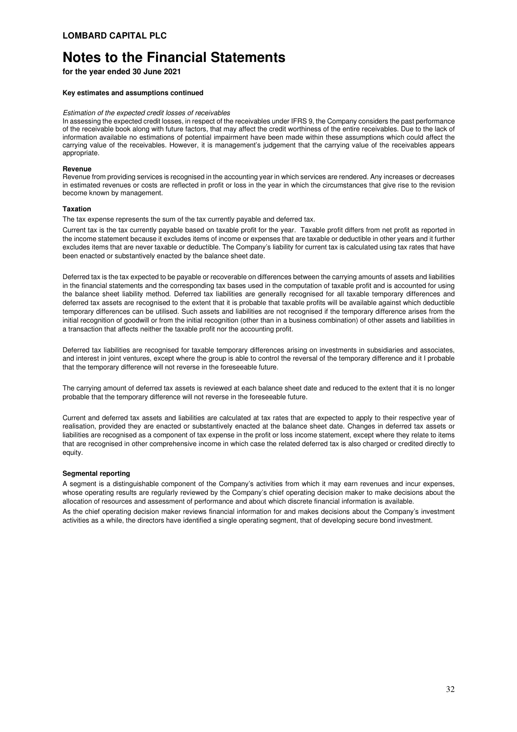**for the year ended 30 June 2021** 

## **Key estimates and assumptions continued**

#### *Estimation of the expected credit losses of receivables*

In assessing the expected credit losses, in respect of the receivables under IFRS 9, the Company considers the past performance of the receivable book along with future factors, that may affect the credit worthiness of the entire receivables. Due to the lack of information available no estimations of potential impairment have been made within these assumptions which could affect the carrying value of the receivables. However, it is management's judgement that the carrying value of the receivables appears appropriate.

## **Revenue**

Revenue from providing services is recognised in the accounting year in which services are rendered. Any increases or decreases in estimated revenues or costs are reflected in profit or loss in the year in which the circumstances that give rise to the revision become known by management.

#### **Taxation**

The tax expense represents the sum of the tax currently payable and deferred tax.

Current tax is the tax currently payable based on taxable profit for the year. Taxable profit differs from net profit as reported in the income statement because it excludes items of income or expenses that are taxable or deductible in other years and it further excludes items that are never taxable or deductible. The Company's liability for current tax is calculated using tax rates that have been enacted or substantively enacted by the balance sheet date.

Deferred tax is the tax expected to be payable or recoverable on differences between the carrying amounts of assets and liabilities in the financial statements and the corresponding tax bases used in the computation of taxable profit and is accounted for using the balance sheet liability method. Deferred tax liabilities are generally recognised for all taxable temporary differences and deferred tax assets are recognised to the extent that it is probable that taxable profits will be available against which deductible temporary differences can be utilised. Such assets and liabilities are not recognised if the temporary difference arises from the initial recognition of goodwill or from the initial recognition (other than in a business combination) of other assets and liabilities in a transaction that affects neither the taxable profit nor the accounting profit.

Deferred tax liabilities are recognised for taxable temporary differences arising on investments in subsidiaries and associates, and interest in joint ventures, except where the group is able to control the reversal of the temporary difference and it I probable that the temporary difference will not reverse in the foreseeable future.

The carrying amount of deferred tax assets is reviewed at each balance sheet date and reduced to the extent that it is no longer probable that the temporary difference will not reverse in the foreseeable future.

Current and deferred tax assets and liabilities are calculated at tax rates that are expected to apply to their respective year of realisation, provided they are enacted or substantively enacted at the balance sheet date. Changes in deferred tax assets or liabilities are recognised as a component of tax expense in the profit or loss income statement, except where they relate to items that are recognised in other comprehensive income in which case the related deferred tax is also charged or credited directly to equity.

## **Segmental reporting**

A segment is a distinguishable component of the Company's activities from which it may earn revenues and incur expenses, whose operating results are regularly reviewed by the Company's chief operating decision maker to make decisions about the allocation of resources and assessment of performance and about which discrete financial information is available. As the chief operating decision maker reviews financial information for and makes decisions about the Company's investment

activities as a while, the directors have identified a single operating segment, that of developing secure bond investment.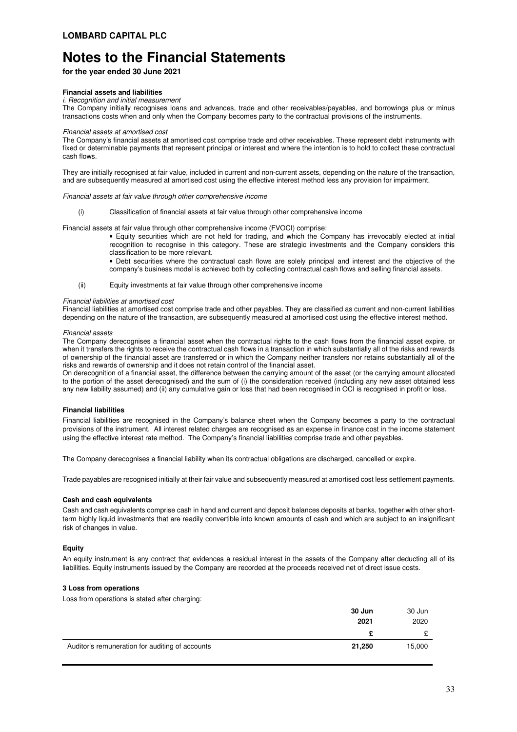**for the year ended 30 June 2021** 

## **Financial assets and liabilities**

*i. Recognition and initial measurement* 

The Company initially recognises loans and advances, trade and other receivables/payables, and borrowings plus or minus transactions costs when and only when the Company becomes party to the contractual provisions of the instruments.

#### *Financial assets at amortised cost*

The Company's financial assets at amortised cost comprise trade and other receivables. These represent debt instruments with fixed or determinable payments that represent principal or interest and where the intention is to hold to collect these contractual cash flows.

They are initially recognised at fair value, included in current and non-current assets, depending on the nature of the transaction, and are subsequently measured at amortised cost using the effective interest method less any provision for impairment.

*Financial assets at fair value through other comprehensive income*

(i) Classification of financial assets at fair value through other comprehensive income

Financial assets at fair value through other comprehensive income (FVOCI) comprise:

• Equity securities which are not held for trading, and which the Company has irrevocably elected at initial recognition to recognise in this category. These are strategic investments and the Company considers this classification to be more relevant.

• Debt securities where the contractual cash flows are solely principal and interest and the objective of the company's business model is achieved both by collecting contractual cash flows and selling financial assets.

(ii) Equity investments at fair value through other comprehensive income

#### *Financial liabilities at amortised cost*

Financial liabilities at amortised cost comprise trade and other payables. They are classified as current and non-current liabilities depending on the nature of the transaction, are subsequently measured at amortised cost using the effective interest method.

#### *Financial assets*

The Company derecognises a financial asset when the contractual rights to the cash flows from the financial asset expire, or when it transfers the rights to receive the contractual cash flows in a transaction in which substantially all of the risks and rewards of ownership of the financial asset are transferred or in which the Company neither transfers nor retains substantially all of the risks and rewards of ownership and it does not retain control of the financial asset.

On derecognition of a financial asset, the difference between the carrying amount of the asset (or the carrying amount allocated to the portion of the asset derecognised) and the sum of (i) the consideration received (including any new asset obtained less any new liability assumed) and (ii) any cumulative gain or loss that had been recognised in OCI is recognised in profit or loss.

## **Financial liabilities**

Financial liabilities are recognised in the Company's balance sheet when the Company becomes a party to the contractual provisions of the instrument. All interest related charges are recognised as an expense in finance cost in the income statement using the effective interest rate method. The Company's financial liabilities comprise trade and other payables.

The Company derecognises a financial liability when its contractual obligations are discharged, cancelled or expire.

Trade payables are recognised initially at their fair value and subsequently measured at amortised cost less settlement payments.

## **Cash and cash equivalents**

Cash and cash equivalents comprise cash in hand and current and deposit balances deposits at banks, together with other shortterm highly liquid investments that are readily convertible into known amounts of cash and which are subject to an insignificant risk of changes in value.

## **Equity**

An equity instrument is any contract that evidences a residual interest in the assets of the Company after deducting all of its liabilities. Equity instruments issued by the Company are recorded at the proceeds received net of direct issue costs.

## **3 Loss from operations**

Loss from operations is stated after charging:

|                                                 | 30 Jun | 30 Jun |
|-------------------------------------------------|--------|--------|
|                                                 | 2021   | 2020   |
|                                                 |        |        |
| Auditor's remuneration for auditing of accounts | 21.250 | 15,000 |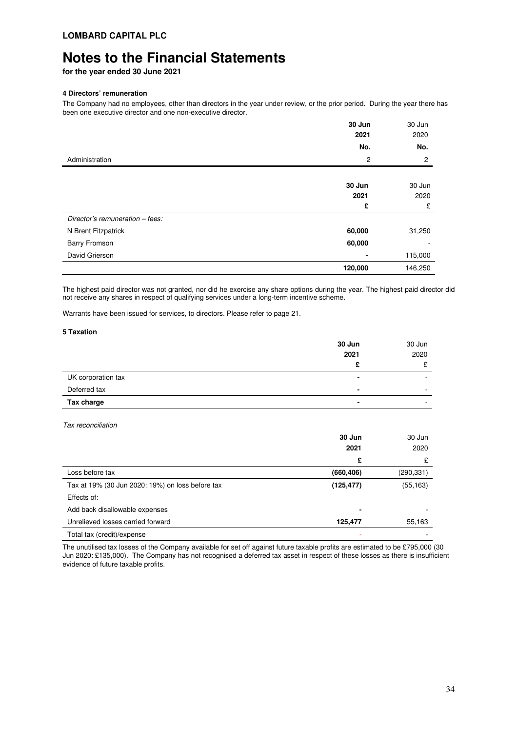**for the year ended 30 June 2021** 

## **4 Directors' remuneration**

The Company had no employees, other than directors in the year under review, or the prior period. During the year there has been one executive director and one non-executive director.

|                                 | 30 Jun  | 30 Jun         |
|---------------------------------|---------|----------------|
|                                 | 2021    | 2020           |
|                                 | No.     | No.            |
| Administration                  | 2       | $\overline{2}$ |
|                                 |         |                |
|                                 | 30 Jun  | 30 Jun         |
|                                 | 2021    | 2020           |
|                                 | £       | £              |
| Director's remuneration - fees: |         |                |
| N Brent Fitzpatrick             | 60,000  | 31,250         |
| <b>Barry Fromson</b>            | 60,000  |                |
| David Grierson                  |         | 115,000        |
|                                 | 120,000 | 146,250        |

The highest paid director was not granted, nor did he exercise any share options during the year. The highest paid director did not receive any shares in respect of qualifying services under a long-term incentive scheme.

Warrants have been issued for services, to directors. Please refer to page 21.

## **5 Taxation**

|                    | 30 Jun         | 30 Jun |
|--------------------|----------------|--------|
|                    | 2021           | 2020   |
|                    | £              | c<br>∼ |
| UK corporation tax | $\blacksquare$ |        |
| Deferred tax       | $\blacksquare$ | ۰      |
| Tax charge         | $\blacksquare$ | -      |

## *Tax reconciliation*

|                                                  | 30 Jun     | 30 Jun    |
|--------------------------------------------------|------------|-----------|
|                                                  | 2021       | 2020      |
|                                                  | £          | £         |
| Loss before tax                                  | (660, 406) | (290,331) |
| Tax at 19% (30 Jun 2020: 19%) on loss before tax | (125, 477) | (55, 163) |
| Effects of:                                      |            |           |
| Add back disallowable expenses                   |            |           |
| Unrelieved losses carried forward                | 125,477    | 55,163    |
| Total tax (credit)/expense                       |            |           |

The unutilised tax losses of the Company available for set off against future taxable profits are estimated to be £795,000 (30 Jun 2020: £135,000). The Company has not recognised a deferred tax asset in respect of these losses as there is insufficient evidence of future taxable profits.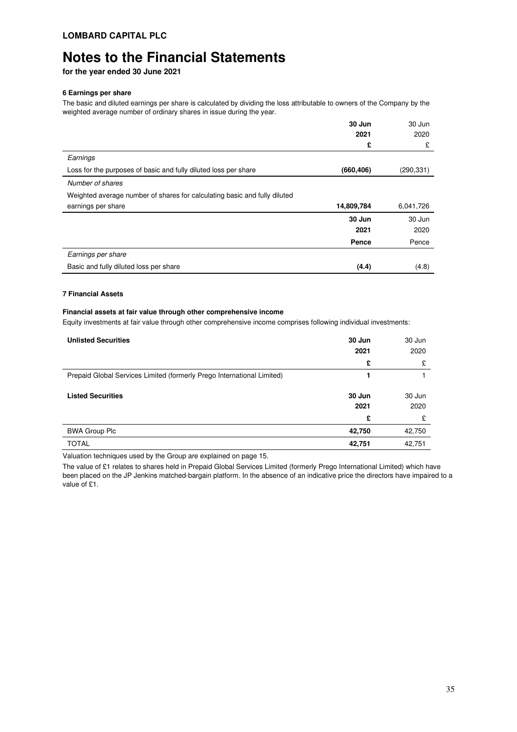**for the year ended 30 June 2021** 

## **6 Earnings per share**

The basic and diluted earnings per share is calculated by dividing the loss attributable to owners of the Company by the weighted average number of ordinary shares in issue during the year.

|                                                                           | 30 Jun     | 30 Jun     |
|---------------------------------------------------------------------------|------------|------------|
|                                                                           | 2021       | 2020       |
|                                                                           | £          | £          |
| Earnings                                                                  |            |            |
| Loss for the purposes of basic and fully diluted loss per share           | (660, 406) | (290, 331) |
| Number of shares                                                          |            |            |
| Weighted average number of shares for calculating basic and fully diluted |            |            |
| earnings per share                                                        | 14,809,784 | 6,041,726  |
|                                                                           | 30 Jun     | 30 Jun     |
|                                                                           | 2021       | 2020       |
|                                                                           | Pence      | Pence      |
| Earnings per share                                                        |            |            |
| Basic and fully diluted loss per share                                    | (4.4)      | (4.8)      |

## **7 Financial Assets**

## **Financial assets at fair value through other comprehensive income**

Equity investments at fair value through other comprehensive income comprises following individual investments:

| <b>Unlisted Securities</b>                                             | 30 Jun<br>2021 | 30 Jun<br>2020 |
|------------------------------------------------------------------------|----------------|----------------|
|                                                                        | £              | £              |
| Prepaid Global Services Limited (formerly Prego International Limited) |                |                |
| <b>Listed Securities</b>                                               | 30 Jun<br>2021 | 30 Jun<br>2020 |
|                                                                        | £              | £              |
| <b>BWA Group Plc</b>                                                   | 42,750         | 42,750         |
| <b>TOTAL</b>                                                           | 42,751         | 42.751         |

Valuation techniques used by the Group are explained on page 15.

The value of £1 relates to shares held in Prepaid Global Services Limited (formerly Prego International Limited) which have been placed on the JP Jenkins matched-bargain platform. In the absence of an indicative price the directors have impaired to a value of £1.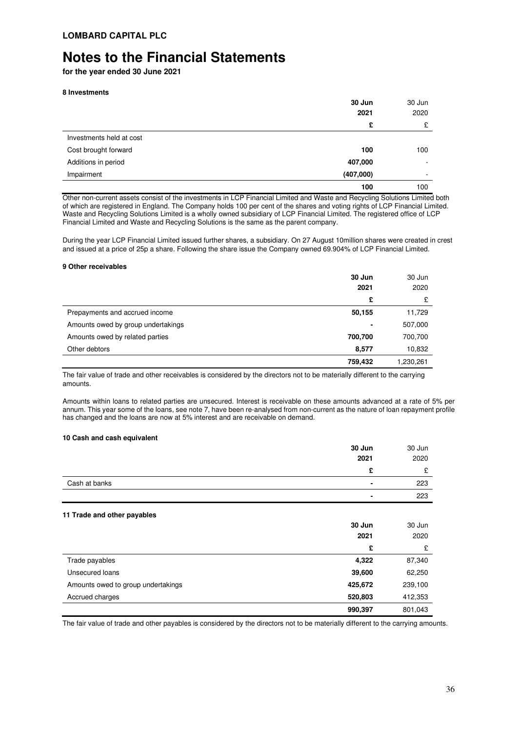**for the year ended 30 June 2021** 

## **8 Investments**

|                          | 30 Jun    | 30 Jun |
|--------------------------|-----------|--------|
|                          | 2021      | 2020   |
|                          | £         | £      |
| Investments held at cost |           |        |
| Cost brought forward     | 100       | 100    |
| Additions in period      | 407,000   |        |
| Impairment               | (407,000) | ۰      |
|                          | 100       | 100    |

Other non-current assets consist of the investments in LCP Financial Limited and Waste and Recycling Solutions Limited both of which are registered in England. The Company holds 100 per cent of the shares and voting rights of LCP Financial Limited. Waste and Recycling Solutions Limited is a wholly owned subsidiary of LCP Financial Limited. The registered office of LCP Financial Limited and Waste and Recycling Solutions is the same as the parent company.

During the year LCP Financial Limited issued further shares, a subsidiary. On 27 August 10million shares were created in crest and issued at a price of 25p a share. Following the share issue the Company owned 69.904% of LCP Financial Limited.

#### **9 Other receivables**

|                                    | 30 Jun  | 30 Jun    |
|------------------------------------|---------|-----------|
|                                    | 2021    | 2020      |
|                                    | £       | £         |
| Prepayments and accrued income     | 50,155  | 11,729    |
| Amounts owed by group undertakings | ٠       | 507,000   |
| Amounts owed by related parties    | 700,700 | 700,700   |
| Other debtors                      | 8,577   | 10,832    |
|                                    | 759,432 | 1,230,261 |

The fair value of trade and other receivables is considered by the directors not to be materially different to the carrying amounts.

Amounts within loans to related parties are unsecured. Interest is receivable on these amounts advanced at a rate of 5% per annum. This year some of the loans, see note 7, have been re-analysed from non-current as the nature of loan repayment profile has changed and the loans are now at 5% interest and are receivable on demand.

## **10 Cash and cash equivalent**

|                                    | 30 Jun  | 30 Jun  |
|------------------------------------|---------|---------|
|                                    | 2021    | 2020    |
|                                    | £       | £       |
| Cash at banks                      |         | 223     |
|                                    |         | 223     |
| 11 Trade and other payables        |         |         |
|                                    | 30 Jun  | 30 Jun  |
|                                    | 2021    | 2020    |
|                                    | £       | £       |
| Trade payables                     | 4,322   | 87,340  |
| Unsecured loans                    | 39,600  | 62,250  |
| Amounts owed to group undertakings | 425,672 | 239,100 |
| Accrued charges                    | 520,803 | 412,353 |
|                                    | 990,397 | 801,043 |

The fair value of trade and other payables is considered by the directors not to be materially different to the carrying amounts.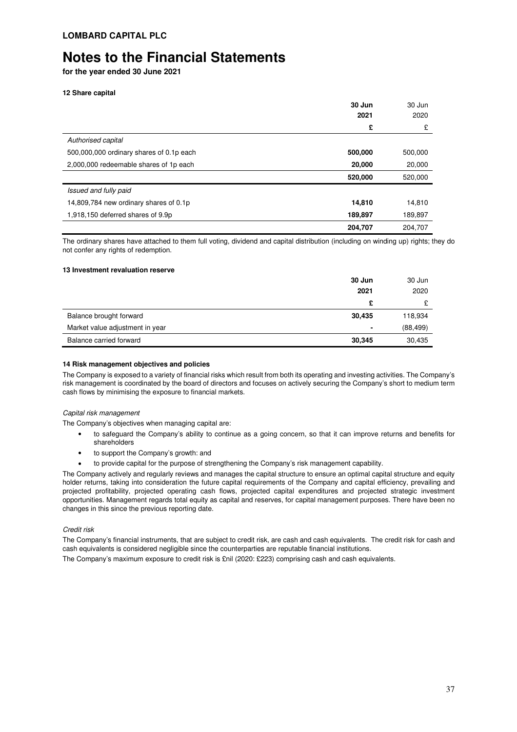**for the year ended 30 June 2021** 

## **12 Share capital**

|                                          | 30 Jun  | 30 Jun  |
|------------------------------------------|---------|---------|
|                                          | 2021    | 2020    |
|                                          | £       | £       |
| Authorised capital                       |         |         |
| 500,000,000 ordinary shares of 0.1p each | 500,000 | 500,000 |
| 2,000,000 redeemable shares of 1p each   | 20,000  | 20,000  |
|                                          | 520,000 | 520,000 |
| Issued and fully paid                    |         |         |
| 14,809,784 new ordinary shares of 0.1p   | 14,810  | 14,810  |
| 1,918,150 deferred shares of 9.9p        | 189,897 | 189,897 |
|                                          | 204,707 | 204.707 |

The ordinary shares have attached to them full voting, dividend and capital distribution (including on winding up) rights; they do not confer any rights of redemption.

## **13 Investment revaluation reserve**

|                                 | 30 Jun | 30 Jun    |
|---------------------------------|--------|-----------|
|                                 | 2021   | 2020      |
|                                 | £      | ¢         |
| Balance brought forward         | 30,435 | 118,934   |
| Market value adjustment in year | ٠      | (88, 499) |
| Balance carried forward         | 30,345 | 30,435    |

## **14 Risk management objectives and policies**

The Company is exposed to a variety of financial risks which result from both its operating and investing activities. The Company's risk management is coordinated by the board of directors and focuses on actively securing the Company's short to medium term cash flows by minimising the exposure to financial markets.

## *Capital risk management*

The Company's objectives when managing capital are:

- to safeguard the Company's ability to continue as a going concern, so that it can improve returns and benefits for shareholders
- to support the Company's growth: and
- to provide capital for the purpose of strengthening the Company's risk management capability.

The Company actively and regularly reviews and manages the capital structure to ensure an optimal capital structure and equity holder returns, taking into consideration the future capital requirements of the Company and capital efficiency, prevailing and projected profitability, projected operating cash flows, projected capital expenditures and projected strategic investment opportunities. Management regards total equity as capital and reserves, for capital management purposes. There have been no changes in this since the previous reporting date.

## *Credit risk*

The Company's financial instruments, that are subject to credit risk, are cash and cash equivalents. The credit risk for cash and cash equivalents is considered negligible since the counterparties are reputable financial institutions.

The Company's maximum exposure to credit risk is £nil (2020: £223) comprising cash and cash equivalents.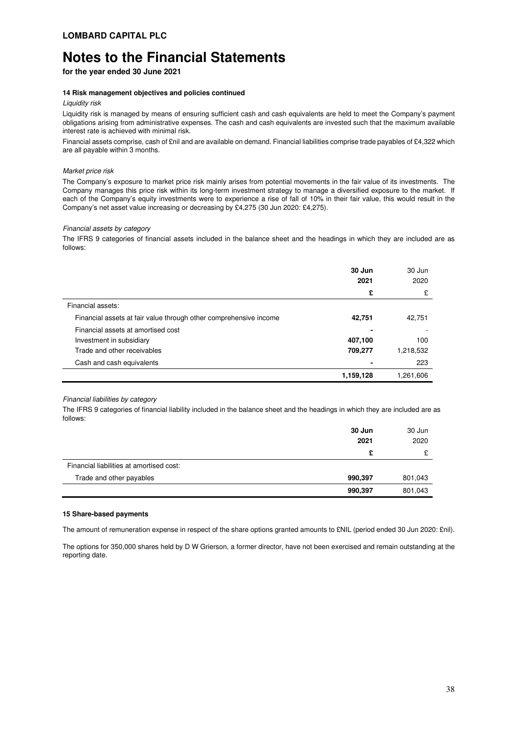**for the year ended 30 June 2021** 

## **14 Risk management objectives and policies continued**

*Liquidity risk* 

Liquidity risk is managed by means of ensuring sufficient cash and cash equivalents are held to meet the Company's payment obligations arising from administrative expenses. The cash and cash equivalents are invested such that the maximum available interest rate is achieved with minimal risk.

Financial assets comprise, cash of £nil and are available on demand. Financial liabilities comprise trade payables of £4,322 which are all payable within 3 months.

## *Market price risk*

The Company's exposure to market price risk mainly arises from potential movements in the fair value of its investments. The Company manages this price risk within its long-term investment strategy to manage a diversified exposure to the market. If each of the Company's equity investments were to experience a rise of fall of 10% in their fair value, this would result in the Company's net asset value increasing or decreasing by £4,275 (30 Jun 2020: £4,275).

## *Financial assets by category*

The IFRS 9 categories of financial assets included in the balance sheet and the headings in which they are included are as follows:

|                                                                   | 30 Jun<br>2021 | 30 Jun<br>2020 |
|-------------------------------------------------------------------|----------------|----------------|
|                                                                   | £              | £              |
| Financial assets:                                                 |                |                |
| Financial assets at fair value through other comprehensive income | 42,751         | 42,751         |
| Financial assets at amortised cost                                |                |                |
| Investment in subsidiary                                          | 407,100        | 100            |
| Trade and other receivables                                       | 709,277        | 1,218,532      |
| Cash and cash equivalents                                         |                | 223            |
|                                                                   | 1,159,128      | 1,261,606      |

*Financial liabilities by category* 

The IFRS 9 categories of financial liability included in the balance sheet and the headings in which they are included are as follows:

|                                          | 30 Jun<br>2021 | 30 Jun<br>2020 |
|------------------------------------------|----------------|----------------|
|                                          | £              | £              |
| Financial liabilities at amortised cost: |                |                |
| Trade and other payables                 | 990,397        | 801,043        |
|                                          | 990,397        | 801,043        |

## **15 Share-based payments**

The amount of remuneration expense in respect of the share options granted amounts to £NIL (period ended 30 Jun 2020: £nil).

The options for 350,000 shares held by D W Grierson, a former director, have not been exercised and remain outstanding at the reporting date.